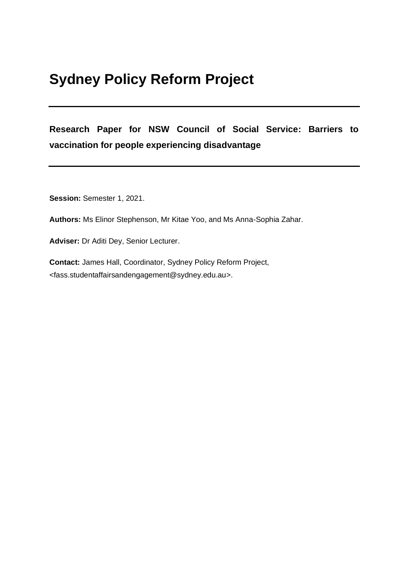# **Sydney Policy Reform Project**

# **Research Paper for NSW Council of Social Service: Barriers to vaccination for people experiencing disadvantage**

**Session:** Semester 1, 2021.

**Authors:** Ms Elinor Stephenson, Mr Kitae Yoo, and Ms Anna-Sophia Zahar.

**Adviser:** Dr Aditi Dey, Senior Lecturer.

**Contact:** James Hall, Coordinator, Sydney Policy Reform Project, <fass.studentaffairsandengagement@sydney.edu.au>.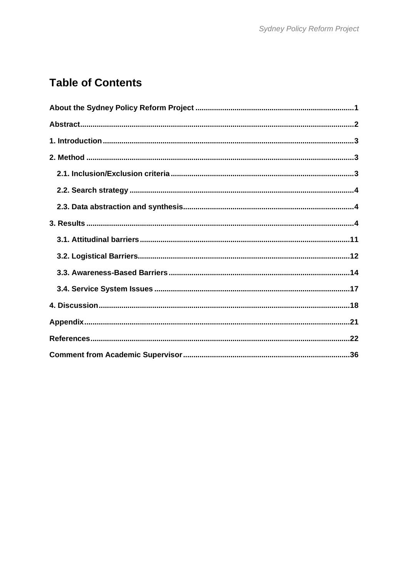# **Table of Contents**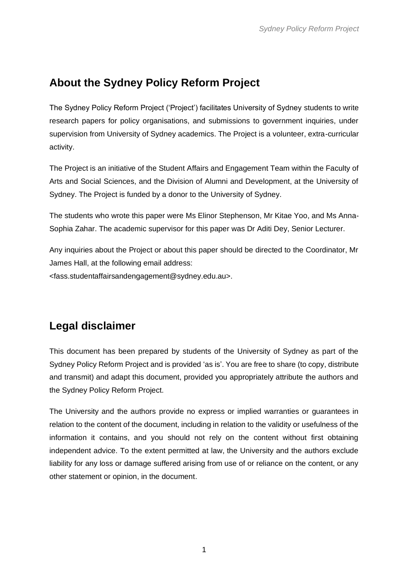# <span id="page-2-0"></span>**About the Sydney Policy Reform Project**

The Sydney Policy Reform Project ('Project') facilitates University of Sydney students to write research papers for policy organisations, and submissions to government inquiries, under supervision from University of Sydney academics. The Project is a volunteer, extra-curricular activity.

The Project is an initiative of the Student Affairs and Engagement Team within the Faculty of Arts and Social Sciences, and the Division of Alumni and Development, at the University of Sydney. The Project is funded by a donor to the University of Sydney.

The students who wrote this paper were Ms Elinor Stephenson, Mr Kitae Yoo, and Ms Anna-Sophia Zahar. The academic supervisor for this paper was Dr Aditi Dey, Senior Lecturer.

Any inquiries about the Project or about this paper should be directed to the Coordinator, Mr James Hall, at the following email address:

<fass.studentaffairsandengagement@sydney.edu.au>.

# **Legal disclaimer**

This document has been prepared by students of the University of Sydney as part of the Sydney Policy Reform Project and is provided 'as is'. You are free to share (to copy, distribute and transmit) and adapt this document, provided you appropriately attribute the authors and the Sydney Policy Reform Project.

The University and the authors provide no express or implied warranties or guarantees in relation to the content of the document, including in relation to the validity or usefulness of the information it contains, and you should not rely on the content without first obtaining independent advice. To the extent permitted at law, the University and the authors exclude liability for any loss or damage suffered arising from use of or reliance on the content, or any other statement or opinion, in the document.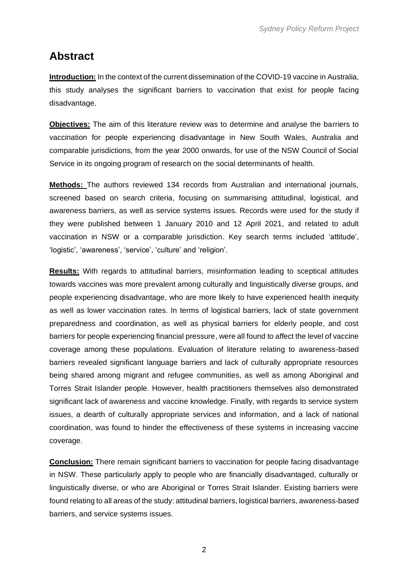# <span id="page-3-0"></span>**Abstract**

**Introduction:** In the context of the current dissemination of the COVID-19 vaccine in Australia, this study analyses the significant barriers to vaccination that exist for people facing disadvantage.

**Objectives:** The aim of this literature review was to determine and analyse the barriers to vaccination for people experiencing disadvantage in New South Wales, Australia and comparable jurisdictions, from the year 2000 onwards, for use of the NSW Council of Social Service in its ongoing program of research on the social determinants of health.

**Methods:** The authors reviewed 134 records from Australian and international journals, screened based on search criteria, focusing on summarising attitudinal, logistical, and awareness barriers, as well as service systems issues. Records were used for the study if they were published between 1 January 2010 and 12 April 2021, and related to adult vaccination in NSW or a comparable jurisdiction. Key search terms included 'attitude', 'logistic', 'awareness', 'service', 'culture' and 'religion'.

**Results:** With regards to attitudinal barriers, misinformation leading to sceptical attitudes towards vaccines was more prevalent among culturally and linguistically diverse groups, and people experiencing disadvantage, who are more likely to have experienced health inequity as well as lower vaccination rates. In terms of logistical barriers, lack of state government preparedness and coordination, as well as physical barriers for elderly people, and cost barriers for people experiencing financial pressure, were all found to affect the level of vaccine coverage among these populations. Evaluation of literature relating to awareness-based barriers revealed significant language barriers and lack of culturally appropriate resources being shared among migrant and refugee communities, as well as among Aboriginal and Torres Strait Islander people. However, health practitioners themselves also demonstrated significant lack of awareness and vaccine knowledge. Finally, with regards to service system issues, a dearth of culturally appropriate services and information, and a lack of national coordination, was found to hinder the effectiveness of these systems in increasing vaccine coverage.

**Conclusion:** There remain significant barriers to vaccination for people facing disadvantage in NSW. These particularly apply to people who are financially disadvantaged, culturally or linguistically diverse, or who are Aboriginal or Torres Strait Islander. Existing barriers were found relating to all areas of the study: attitudinal barriers, logistical barriers, awareness-based barriers, and service systems issues.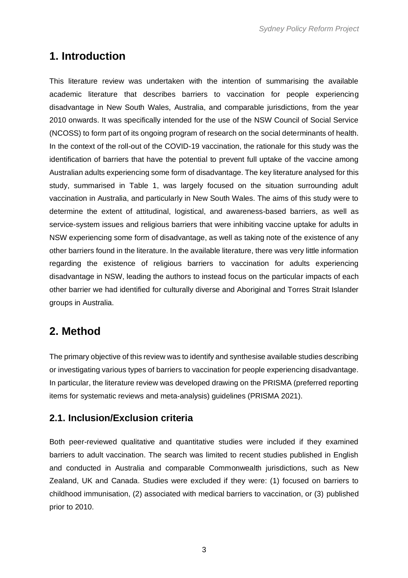# <span id="page-4-0"></span>**1. Introduction**

This literature review was undertaken with the intention of summarising the available academic literature that describes barriers to vaccination for people experiencing disadvantage in New South Wales, Australia, and comparable jurisdictions, from the year 2010 onwards. It was specifically intended for the use of the NSW Council of Social Service (NCOSS) to form part of its ongoing program of research on the social determinants of health. In the context of the roll-out of the COVID-19 vaccination, the rationale for this study was the identification of barriers that have the potential to prevent full uptake of the vaccine among Australian adults experiencing some form of disadvantage. The key literature analysed for this study, summarised in Table 1, was largely focused on the situation surrounding adult vaccination in Australia, and particularly in New South Wales. The aims of this study were to determine the extent of attitudinal, logistical, and awareness-based barriers, as well as service-system issues and religious barriers that were inhibiting vaccine uptake for adults in NSW experiencing some form of disadvantage, as well as taking note of the existence of any other barriers found in the literature. In the available literature, there was very little information regarding the existence of religious barriers to vaccination for adults experiencing disadvantage in NSW, leading the authors to instead focus on the particular impacts of each other barrier we had identified for culturally diverse and Aboriginal and Torres Strait Islander groups in Australia.

# <span id="page-4-1"></span>**2. Method**

The primary objective of this review was to identify and synthesise available studies describing or investigating various types of barriers to vaccination for people experiencing disadvantage. In particular, the literature review was developed drawing on the PRISMA (preferred reporting items for systematic reviews and meta-analysis) guidelines (PRISMA 2021).

### <span id="page-4-2"></span>**2.1. Inclusion/Exclusion criteria**

Both peer-reviewed qualitative and quantitative studies were included if they examined barriers to adult vaccination. The search was limited to recent studies published in English and conducted in Australia and comparable Commonwealth jurisdictions, such as New Zealand, UK and Canada. Studies were excluded if they were: (1) focused on barriers to childhood immunisation, (2) associated with medical barriers to vaccination, or (3) published prior to 2010.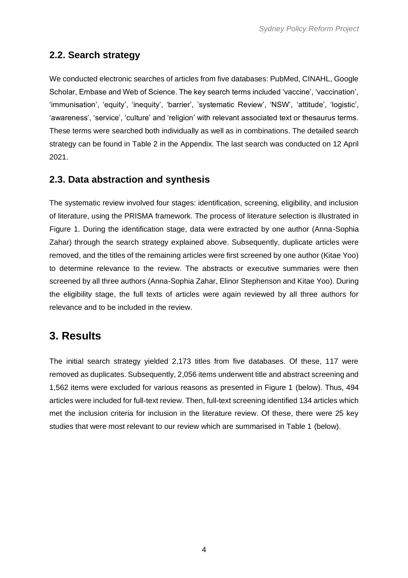## <span id="page-5-0"></span>**2.2. Search strategy**

We conducted electronic searches of articles from five databases: PubMed, CINAHL, Google Scholar, Embase and Web of Science. The key search terms included 'vaccine', 'vaccination', 'immunisation', 'equity', 'inequity', 'barrier', 'systematic Review', 'NSW', 'attitude', 'logistic', 'awareness', 'service', 'culture' and 'religion' with relevant associated text or thesaurus terms. These terms were searched both individually as well as in combinations. The detailed search strategy can be found in Table 2 in the Appendix. The last search was conducted on 12 April 2021.

### <span id="page-5-1"></span>**2.3. Data abstraction and synthesis**

The systematic review involved four stages: identification, screening, eligibility, and inclusion of literature, using the PRISMA framework. The process of literature selection is illustrated in Figure 1. During the identification stage, data were extracted by one author (Anna-Sophia Zahar) through the search strategy explained above. Subsequently, duplicate articles were removed, and the titles of the remaining articles were first screened by one author (Kitae Yoo) to determine relevance to the review. The abstracts or executive summaries were then screened by all three authors (Anna-Sophia Zahar, Elinor Stephenson and Kitae Yoo). During the eligibility stage, the full texts of articles were again reviewed by all three authors for relevance and to be included in the review.

# <span id="page-5-2"></span>**3. Results**

The initial search strategy yielded 2,173 titles from five databases. Of these, 117 were removed as duplicates. Subsequently, 2,056 items underwent title and abstract screening and 1,562 items were excluded for various reasons as presented in Figure 1 (below). Thus, 494 articles were included for full-text review. Then, full-text screening identified 134 articles which met the inclusion criteria for inclusion in the literature review. Of these, there were 25 key studies that were most relevant to our review which are summarised in Table 1 (below).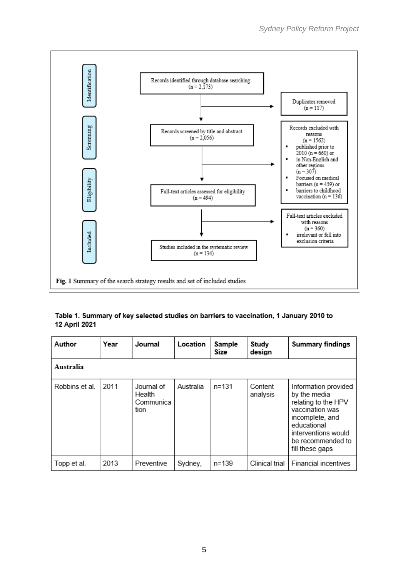

#### Table 1. Summary of key selected studies on barriers to vaccination, 1 January 2010 to 12 April 2021

| Author         | Year | Journal                                   | Location  | Sample<br>Size | Study<br>design     | <b>Summary findings</b>                                                                                                                                                         |
|----------------|------|-------------------------------------------|-----------|----------------|---------------------|---------------------------------------------------------------------------------------------------------------------------------------------------------------------------------|
| Australia      |      |                                           |           |                |                     |                                                                                                                                                                                 |
| Robbins et al. | 2011 | Journal of<br>Health<br>Communica<br>tion | Australia | n=131          | Content<br>analysis | Information provided<br>by the media<br>relating to the HPV<br>vaccination was<br>incomplete, and<br>educational<br>interventions would<br>be recommended to<br>fill these gaps |
| Topp et al.    | 2013 | Preventive                                | Sydney,   | n=139          | Clinical trial      | <b>Financial incentives</b>                                                                                                                                                     |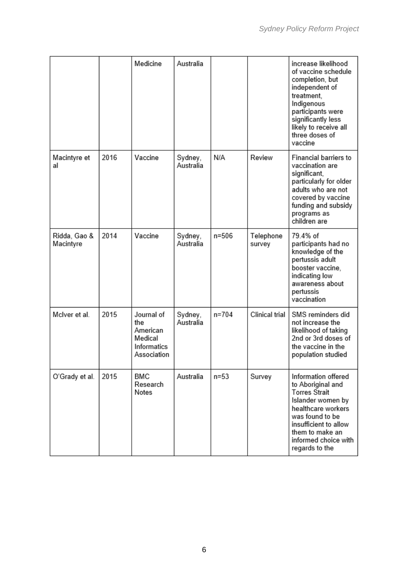|                           |      | Medicine                                                               | Australia            |           |                     | increase likelihood<br>of vaccine schedule<br>completion, but<br>independent of<br>treatment,<br>Indigenous<br>participants were<br>significantly less<br>likely to receive all<br>three doses of<br>vaccine         |
|---------------------------|------|------------------------------------------------------------------------|----------------------|-----------|---------------------|----------------------------------------------------------------------------------------------------------------------------------------------------------------------------------------------------------------------|
| Macintyre et<br>al        | 2016 | Vaccine                                                                | Sydney,<br>Australia | N/A       | Review              | Financial barriers to<br>vaccination are<br>significant,<br>particularly for older<br>adults who are not<br>covered by vaccine<br>funding and subsidy<br>programs as<br>children are                                 |
| Ridda, Gao &<br>Macintyre | 2014 | Vaccine                                                                | Sydney,<br>Australia | n=506     | Telephone<br>survey | 79.4% of<br>participants had no<br>knowledge of the<br>pertussis adult<br>booster vaccine,<br>indicating low<br>awareness about<br>pertussis<br>vaccination                                                          |
| McIver et al.             | 2015 | Journal of<br>the<br>American<br>Medical<br>Informatics<br>Association | Sydney,<br>Australia | $n = 704$ | Clinical trial      | SMS reminders did<br>not increase the<br>likelihood of taking<br>2nd or 3rd doses of<br>the vaccine in the<br>population studied                                                                                     |
| O'Grady et al.            | 2015 | <b>BMC</b><br>Research<br>Notes                                        | Australia            | $n=53$    | Survey              | Information offered<br>to Aboriginal and<br><b>Torres Strait</b><br>Islander women by<br>healthcare workers<br>was found to be<br>insufficient to allow<br>them to make an<br>informed choice with<br>regards to the |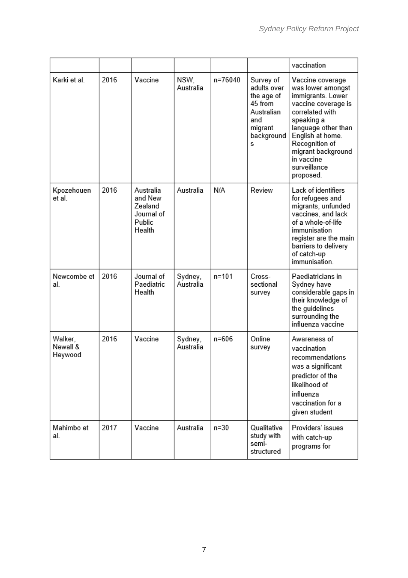|                                |      |                                                                   |                      |           |                                                                                                      | vaccination                                                                                                                                                                                                                                      |
|--------------------------------|------|-------------------------------------------------------------------|----------------------|-----------|------------------------------------------------------------------------------------------------------|--------------------------------------------------------------------------------------------------------------------------------------------------------------------------------------------------------------------------------------------------|
| Karki et al.                   | 2016 | Vaccine                                                           | NSW.<br>Australia    | n=76040   | Survey of<br>adults over<br>the age of<br>45 from<br>Australian<br>and<br>migrant<br>background<br>s | Vaccine coverage<br>was lower amongst<br>immigrants. Lower<br>vaccine coverage is<br>correlated with<br>speaking a<br>language other than<br>English at home.<br>Recognition of<br>migrant background<br>in vaccine<br>surveillance<br>proposed. |
| Kpozehouen<br>et al.           | 2016 | Australia<br>and New<br>Zealand<br>Journal of<br>Public<br>Health | Australia            | N/A       | Review                                                                                               | Lack of identifiers<br>for refugees and<br>migrants, unfunded<br>vaccines, and lack<br>of a whole-of-life<br>immunisation<br>register are the main<br>barriers to delivery<br>of catch-up<br>immunisation.                                       |
| Newcombe et<br>al              | 2016 | Journal of<br>Paediatric<br>Health                                | Sydney,<br>Australia | $n = 101$ | Cross-<br>sectional<br>survey                                                                        | Paediatricians in<br>Sydney have<br>considerable gaps in<br>their knowledge of<br>the guidelines<br>surrounding the<br>influenza vaccine                                                                                                         |
| Walker,<br>Newall &<br>Heywood | 2016 | Vaccine                                                           | Sydney,<br>Australia | n=606     | Online<br>survey                                                                                     | Awareness of<br>vaccination<br>recommendations<br>was a significant<br>predictor of the<br>likelihood of<br>influenza<br>vaccination for a<br>given student                                                                                      |
| Mahimbo et<br>al.              | 2017 | Vaccine                                                           | Australia            | $n=30$    | Qualitative<br>study with<br>semi-<br>structured                                                     | Providers' issues<br>with catch-up<br>programs for                                                                                                                                                                                               |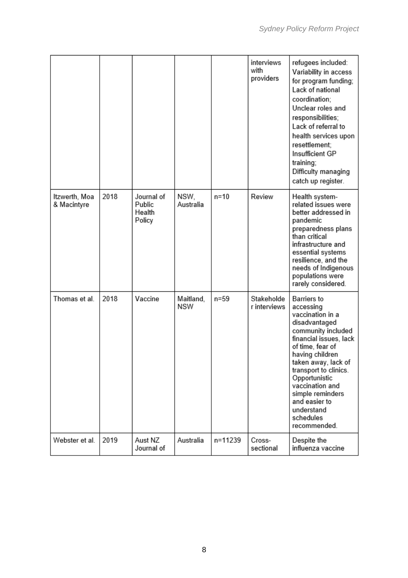|                              |      |                                          |                   |         | interviews<br>with<br>providers | refugees included:<br>Variability in access<br>for program funding;<br>Lack of national<br>coordination:<br>Unclear roles and<br>responsibilities;<br>Lack of referral to<br>health services upon<br>resettlement;<br>Insufficient GP<br>training;<br>Difficulty managing<br>catch up register.                          |
|------------------------------|------|------------------------------------------|-------------------|---------|---------------------------------|--------------------------------------------------------------------------------------------------------------------------------------------------------------------------------------------------------------------------------------------------------------------------------------------------------------------------|
| Itzwerth, Moa<br>& Macintyre | 2018 | Journal of<br>Public<br>Health<br>Policy | NSW,<br>Australia | $n=10$  | Review                          | Health system-<br>related issues were<br>better addressed in<br>pandemic<br>preparedness plans<br>than critical<br>infrastructure and<br>essential systems<br>resilience, and the<br>needs of Indigenous<br>populations were<br>rarely considered.                                                                       |
| Thomas et al.                | 2018 | Vaccine                                  | Maitland,<br>NSW  | $n=59$  | Stakeholde<br>r interviews      | Barriers to<br>accessing<br>vaccination in a<br>disadvantaged<br>community included<br>financial issues, lack<br>of time, fear of<br>having children<br>taken away, lack of<br>transport to clinics.<br>Opportunistic<br>vaccination and<br>simple reminders<br>and easier to<br>understand<br>schedules<br>recommended. |
| Webster et al.               | 2019 | Aust NZ<br>Journal of                    | Australia         | n=11239 | Cross-<br>sectional             | Despite the<br>influenza vaccine                                                                                                                                                                                                                                                                                         |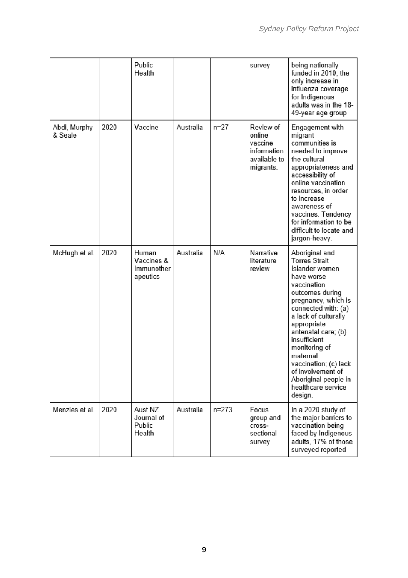|                         |      | Public<br>Health                              |           |           | survey                                                                     | being nationally<br>funded in 2010, the<br>only increase in<br>influenza coverage<br>for Indigenous<br>adults was in the 18-<br>49-year age group                                                                                                                                                                                                                        |
|-------------------------|------|-----------------------------------------------|-----------|-----------|----------------------------------------------------------------------------|--------------------------------------------------------------------------------------------------------------------------------------------------------------------------------------------------------------------------------------------------------------------------------------------------------------------------------------------------------------------------|
| Abdi, Murphy<br>& Seale | 2020 | Vaccine                                       | Australia | $n = 27$  | Review of<br>online<br>vaccine<br>information<br>available to<br>migrants. | Engagement with<br>migrant<br>communities is<br>needed to improve<br>the cultural<br>appropriateness and<br>accessibility of<br>online vaccination<br>resources, in order<br>to increase<br>awareness of<br>vaccines. Tendency<br>for information to be<br>difficult to locate and<br>jargon-heavy.                                                                      |
| McHugh et al.           | 2020 | Human<br>Vaccines &<br>Immunother<br>apeutics | Australia | N/A       | Narrative<br>literature<br>review                                          | Aboriginal and<br><b>Torres Strait</b><br>Islander women<br>have worse<br>vaccination<br>outcomes during<br>pregnancy, which is<br>connected with: (a)<br>a lack of culturally<br>appropriate<br>antenatal care; (b)<br>insufficient<br>monitoring of<br>maternal<br>vaccination; (c) lack<br>of involvement of<br>Aboriginal people in<br>healthcare service<br>design. |
| Menzies et al.          | 2020 | Aust NZ<br>Journal of<br>Public<br>Health     | Australia | $n = 273$ | Focus<br>group and<br>cross-<br>sectional<br>survey                        | In a 2020 study of<br>the major barriers to<br>vaccination being<br>faced by Indigenous<br>adults, 17% of those<br>surveyed reported                                                                                                                                                                                                                                     |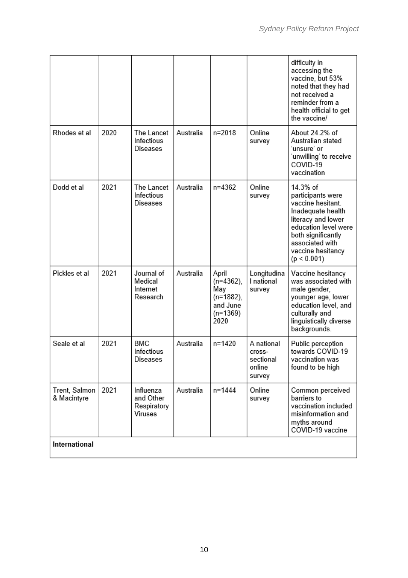|                              |      |                                                  |           |                                                                             |                                                       | difficulty in<br>accessing the<br>vaccine, but 53%<br>noted that they had<br>not received a<br>reminder from a<br>health official to get<br>the vaccine/                                           |
|------------------------------|------|--------------------------------------------------|-----------|-----------------------------------------------------------------------------|-------------------------------------------------------|----------------------------------------------------------------------------------------------------------------------------------------------------------------------------------------------------|
| Rhodes et al                 | 2020 | The Lancet<br>Infectious<br>Diseases             | Australia | n=2018                                                                      | Online<br>survey                                      | About 24.2% of<br>Australian stated<br>'unsure' or<br>'unwilling' to receive<br>COVID-19<br>vaccination                                                                                            |
| Dodd et al                   | 2021 | The Lancet<br>Infectious<br>Diseases             | Australia | n=4362                                                                      | Online<br>survey                                      | 14.3% of<br>participants were<br>vaccine hesitant.<br>Inadequate health<br>literacy and lower<br>education level were<br>both significantly<br>associated with<br>vaccine hesitancy<br>(p < 0.001) |
| Pickles et al                | 2021 | Journal of<br>Medical<br>Internet<br>Research    | Australia | April<br>$(n=4362)$ ,<br>May<br>(n=1882),<br>and June<br>$(n=1369)$<br>2020 | Longitudina<br>I national<br>survey                   | Vaccine hesitancy<br>was associated with<br>male gender,<br>younger age, lower<br>education level, and<br>culturally and<br>linguistically diverse<br>backgrounds.                                 |
| Seale et al                  | 2021 | <b>BMC</b><br>Infectious<br>Diseases             | Australia | n=1420                                                                      | A national<br>cross-<br>sectional<br>online<br>survey | Public perception<br>towards COVID-19<br>vaccination was<br>found to be high                                                                                                                       |
| Trent, Salmon<br>& Macintyre | 2021 | Influenza<br>and Other<br>Respiratory<br>Viruses | Australia | n=1444                                                                      | Online<br>survey                                      | Common perceived<br>barriers to<br>vaccination included<br>misinformation and<br>myths around<br>COVID-19 vaccine                                                                                  |
| International                |      |                                                  |           |                                                                             |                                                       |                                                                                                                                                                                                    |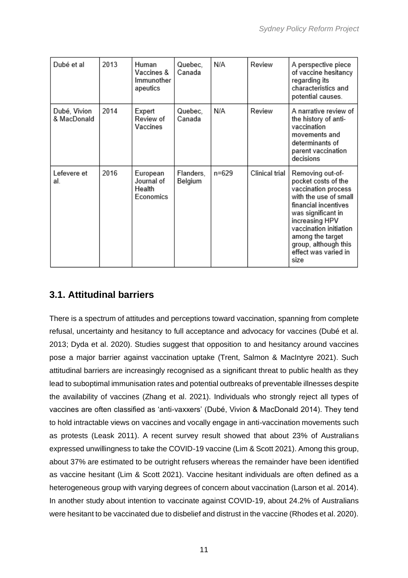| Dubé et al                  | 2013 | Human<br>Vaccines &<br>Immunother<br>apeutics | Quebec,<br>Canada    | N/A   | Review         | A perspective piece<br>of vaccine hesitancy<br>regarding its<br>characteristics and<br>potential causes.                                                                                                                                                      |
|-----------------------------|------|-----------------------------------------------|----------------------|-------|----------------|---------------------------------------------------------------------------------------------------------------------------------------------------------------------------------------------------------------------------------------------------------------|
| Dubé, Vivion<br>& MacDonald | 2014 | Expert<br>Review of<br>Vaccines               | Quebec.<br>Canada    | N/A   | Review         | A narrative review of<br>the history of anti-<br>vaccination<br>movements and<br>determinants of<br>parent vaccination<br>decisions                                                                                                                           |
| Lefevere et<br>al.          | 2016 | European<br>Journal of<br>Health<br>Economics | Flanders,<br>Belgium | n=629 | Clinical trial | Removing out-of-<br>pocket costs of the<br>vaccination process<br>with the use of small<br>financial incentives<br>was significant in<br>increasing HPV<br>vaccination initiation<br>among the target<br>group, although this<br>effect was varied in<br>size |

## <span id="page-12-0"></span>**3.1. Attitudinal barriers**

There is a spectrum of attitudes and perceptions toward vaccination, spanning from complete refusal, uncertainty and hesitancy to full acceptance and advocacy for vaccines (Dubé et al. 2013; Dyda et al. 2020). Studies suggest that opposition to and hesitancy around vaccines pose a major barrier against vaccination uptake (Trent, Salmon & MacIntyre 2021). Such attitudinal barriers are increasingly recognised as a significant threat to public health as they lead to suboptimal immunisation rates and potential outbreaks of preventable illnesses despite the availability of vaccines (Zhang et al. 2021). Individuals who strongly reject all types of vaccines are often classified as 'anti-vaxxers' (Dubé, Vivion & MacDonald 2014). They tend to hold intractable views on vaccines and vocally engage in anti-vaccination movements such as protests (Leask 2011). A recent survey result showed that about 23% of Australians expressed unwillingness to take the COVID-19 vaccine (Lim & Scott 2021). Among this group, about 37% are estimated to be outright refusers whereas the remainder have been identified as vaccine hesitant (Lim & Scott 2021). Vaccine hesitant individuals are often defined as a heterogeneous group with varying degrees of concern about vaccination (Larson et al. 2014). In another study about intention to vaccinate against COVID-19, about 24.2% of Australians were hesitant to be vaccinated due to disbelief and distrust in the vaccine (Rhodes et al. 2020).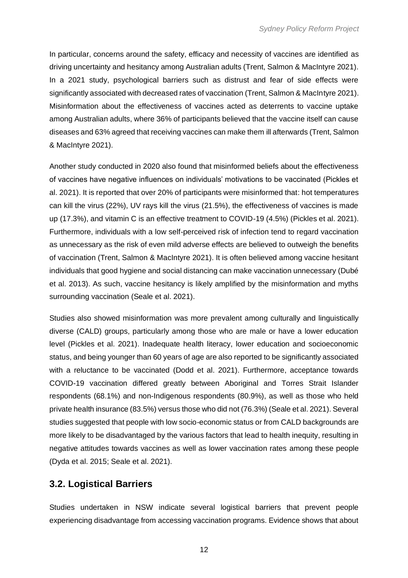In particular, concerns around the safety, efficacy and necessity of vaccines are identified as driving uncertainty and hesitancy among Australian adults (Trent, Salmon & MacIntyre 2021). In a 2021 study, psychological barriers such as distrust and fear of side effects were significantly associated with decreased rates of vaccination (Trent, Salmon & MacIntyre 2021). Misinformation about the effectiveness of vaccines acted as deterrents to vaccine uptake among Australian adults, where 36% of participants believed that the vaccine itself can cause diseases and 63% agreed that receiving vaccines can make them ill afterwards (Trent, Salmon & MacIntyre 2021).

Another study conducted in 2020 also found that misinformed beliefs about the effectiveness of vaccines have negative influences on individuals' motivations to be vaccinated (Pickles et al. 2021). It is reported that over 20% of participants were misinformed that: hot temperatures can kill the virus (22%), UV rays kill the virus (21.5%), the effectiveness of vaccines is made up (17.3%), and vitamin C is an effective treatment to COVID-19 (4.5%) (Pickles et al. 2021). Furthermore, individuals with a low self-perceived risk of infection tend to regard vaccination as unnecessary as the risk of even mild adverse effects are believed to outweigh the benefits of vaccination (Trent, Salmon & MacIntyre 2021). It is often believed among vaccine hesitant individuals that good hygiene and social distancing can make vaccination unnecessary (Dubé et al. 2013). As such, vaccine hesitancy is likely amplified by the misinformation and myths surrounding vaccination (Seale et al. 2021).

Studies also showed misinformation was more prevalent among culturally and linguistically diverse (CALD) groups, particularly among those who are male or have a lower education level (Pickles et al. 2021). Inadequate health literacy, lower education and socioeconomic status, and being younger than 60 years of age are also reported to be significantly associated with a reluctance to be vaccinated (Dodd et al. 2021). Furthermore, acceptance towards COVID-19 vaccination differed greatly between Aboriginal and Torres Strait Islander respondents (68.1%) and non-Indigenous respondents (80.9%), as well as those who held private health insurance (83.5%) versus those who did not (76.3%) (Seale et al. 2021). Several studies suggested that people with low socio-economic status or from CALD backgrounds are more likely to be disadvantaged by the various factors that lead to health inequity, resulting in negative attitudes towards vaccines as well as lower vaccination rates among these people (Dyda et al. 2015; Seale et al. 2021).

### <span id="page-13-0"></span>**3.2. Logistical Barriers**

Studies undertaken in NSW indicate several logistical barriers that prevent people experiencing disadvantage from accessing vaccination programs. Evidence shows that about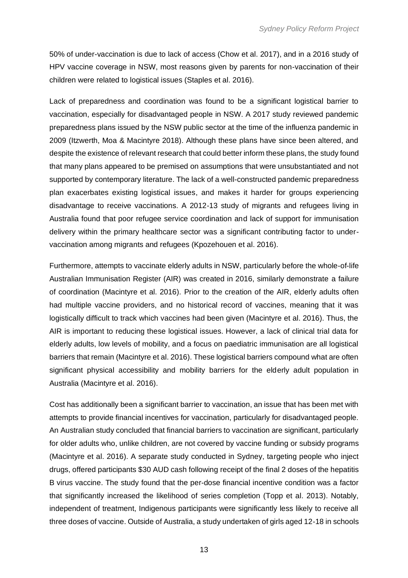50% of under-vaccination is due to lack of access (Chow et al. 2017), and in a 2016 study of HPV vaccine coverage in NSW, most reasons given by parents for non-vaccination of their children were related to logistical issues (Staples et al. 2016).

Lack of preparedness and coordination was found to be a significant logistical barrier to vaccination, especially for disadvantaged people in NSW. A 2017 study reviewed pandemic preparedness plans issued by the NSW public sector at the time of the influenza pandemic in 2009 (Itzwerth, Moa & Macintyre 2018). Although these plans have since been altered, and despite the existence of relevant research that could better inform these plans, the study found that many plans appeared to be premised on assumptions that were unsubstantiated and not supported by contemporary literature. The lack of a well-constructed pandemic preparedness plan exacerbates existing logistical issues, and makes it harder for groups experiencing disadvantage to receive vaccinations. A 2012-13 study of migrants and refugees living in Australia found that poor refugee service coordination and lack of support for immunisation delivery within the primary healthcare sector was a significant contributing factor to undervaccination among migrants and refugees (Kpozehouen et al. 2016).

Furthermore, attempts to vaccinate elderly adults in NSW, particularly before the whole-of-life Australian Immunisation Register (AIR) was created in 2016, similarly demonstrate a failure of coordination (Macintyre et al. 2016). Prior to the creation of the AIR, elderly adults often had multiple vaccine providers, and no historical record of vaccines, meaning that it was logistically difficult to track which vaccines had been given (Macintyre et al. 2016). Thus, the AIR is important to reducing these logistical issues. However, a lack of clinical trial data for elderly adults, low levels of mobility, and a focus on paediatric immunisation are all logistical barriers that remain (Macintyre et al. 2016). These logistical barriers compound what are often significant physical accessibility and mobility barriers for the elderly adult population in Australia (Macintyre et al. 2016).

Cost has additionally been a significant barrier to vaccination, an issue that has been met with attempts to provide financial incentives for vaccination, particularly for disadvantaged people. An Australian study concluded that financial barriers to vaccination are significant, particularly for older adults who, unlike children, are not covered by vaccine funding or subsidy programs (Macintyre et al. 2016). A separate study conducted in Sydney, targeting people who inject drugs, offered participants \$30 AUD cash following receipt of the final 2 doses of the hepatitis B virus vaccine. The study found that the per-dose financial incentive condition was a factor that significantly increased the likelihood of series completion (Topp et al. 2013). Notably, independent of treatment, Indigenous participants were significantly less likely to receive all three doses of vaccine. Outside of Australia, a study undertaken of girls aged 12-18 in schools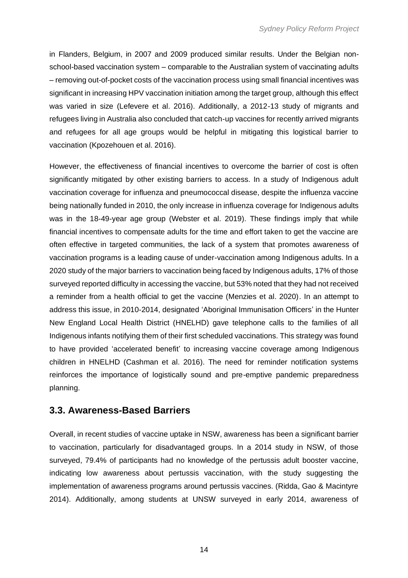in Flanders, Belgium, in 2007 and 2009 produced similar results. Under the Belgian nonschool-based vaccination system – comparable to the Australian system of vaccinating adults – removing out-of-pocket costs of the vaccination process using small financial incentives was significant in increasing HPV vaccination initiation among the target group, although this effect was varied in size (Lefevere et al. 2016). Additionally, a 2012-13 study of migrants and refugees living in Australia also concluded that catch-up vaccines for recently arrived migrants and refugees for all age groups would be helpful in mitigating this logistical barrier to vaccination (Kpozehouen et al. 2016).

However, the effectiveness of financial incentives to overcome the barrier of cost is often significantly mitigated by other existing barriers to access. In a study of Indigenous adult vaccination coverage for influenza and pneumococcal disease, despite the influenza vaccine being nationally funded in 2010, the only increase in influenza coverage for Indigenous adults was in the 18-49-year age group (Webster et al. 2019). These findings imply that while financial incentives to compensate adults for the time and effort taken to get the vaccine are often effective in targeted communities, the lack of a system that promotes awareness of vaccination programs is a leading cause of under-vaccination among Indigenous adults. In a 2020 study of the major barriers to vaccination being faced by Indigenous adults, 17% of those surveyed reported difficulty in accessing the vaccine, but 53% noted that they had not received a reminder from a health official to get the vaccine (Menzies et al. 2020). In an attempt to address this issue, in 2010-2014, designated 'Aboriginal Immunisation Officers' in the Hunter New England Local Health District (HNELHD) gave telephone calls to the families of all Indigenous infants notifying them of their first scheduled vaccinations. This strategy was found to have provided 'accelerated benefit' to increasing vaccine coverage among Indigenous children in HNELHD (Cashman et al. 2016). The need for reminder notification systems reinforces the importance of logistically sound and pre-emptive pandemic preparedness planning.

### <span id="page-15-0"></span>**3.3. Awareness-Based Barriers**

Overall, in recent studies of vaccine uptake in NSW, awareness has been a significant barrier to vaccination, particularly for disadvantaged groups. In a 2014 study in NSW, of those surveyed, 79.4% of participants had no knowledge of the pertussis adult booster vaccine, indicating low awareness about pertussis vaccination, with the study suggesting the implementation of awareness programs around pertussis vaccines. (Ridda, Gao & Macintyre 2014). Additionally, among students at UNSW surveyed in early 2014, awareness of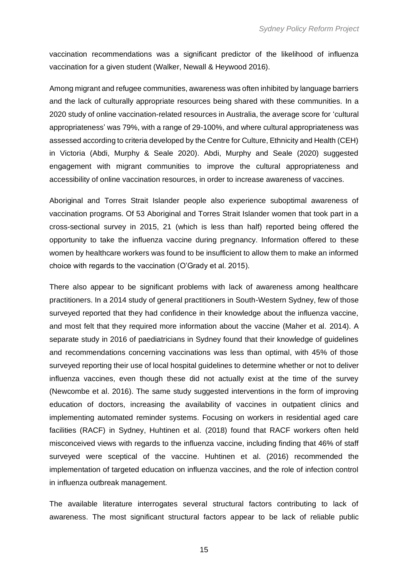vaccination recommendations was a significant predictor of the likelihood of influenza vaccination for a given student (Walker, Newall & Heywood 2016).

Among migrant and refugee communities, awareness was often inhibited by language barriers and the lack of culturally appropriate resources being shared with these communities. In a 2020 study of online vaccination-related resources in Australia, the average score for 'cultural appropriateness' was 79%, with a range of 29-100%, and where cultural appropriateness was assessed according to criteria developed by the Centre for Culture, Ethnicity and Health (CEH) in Victoria (Abdi, Murphy & Seale 2020). Abdi, Murphy and Seale (2020) suggested engagement with migrant communities to improve the cultural appropriateness and accessibility of online vaccination resources, in order to increase awareness of vaccines.

Aboriginal and Torres Strait Islander people also experience suboptimal awareness of vaccination programs. Of 53 Aboriginal and Torres Strait Islander women that took part in a cross-sectional survey in 2015, 21 (which is less than half) reported being offered the opportunity to take the influenza vaccine during pregnancy. Information offered to these women by healthcare workers was found to be insufficient to allow them to make an informed choice with regards to the vaccination (O'Grady et al. 2015).

There also appear to be significant problems with lack of awareness among healthcare practitioners. In a 2014 study of general practitioners in South-Western Sydney, few of those surveyed reported that they had confidence in their knowledge about the influenza vaccine, and most felt that they required more information about the vaccine (Maher et al. 2014). A separate study in 2016 of paediatricians in Sydney found that their knowledge of guidelines and recommendations concerning vaccinations was less than optimal, with 45% of those surveyed reporting their use of local hospital guidelines to determine whether or not to deliver influenza vaccines, even though these did not actually exist at the time of the survey (Newcombe et al. 2016). The same study suggested interventions in the form of improving education of doctors, increasing the availability of vaccines in outpatient clinics and implementing automated reminder systems. Focusing on workers in residential aged care facilities (RACF) in Sydney, Huhtinen et al. (2018) found that RACF workers often held misconceived views with regards to the influenza vaccine, including finding that 46% of staff surveyed were sceptical of the vaccine. Huhtinen et al. (2016) recommended the implementation of targeted education on influenza vaccines, and the role of infection control in influenza outbreak management.

The available literature interrogates several structural factors contributing to lack of awareness. The most significant structural factors appear to be lack of reliable public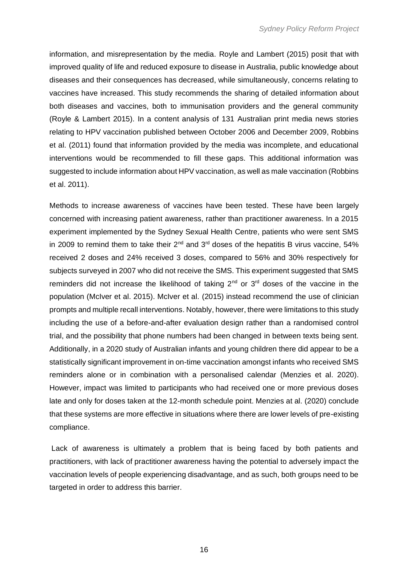information, and misrepresentation by the media. Royle and Lambert (2015) posit that with improved quality of life and reduced exposure to disease in Australia, public knowledge about diseases and their consequences has decreased, while simultaneously, concerns relating to vaccines have increased. This study recommends the sharing of detailed information about both diseases and vaccines, both to immunisation providers and the general community (Royle & Lambert 2015). In a content analysis of 131 Australian print media news stories relating to HPV vaccination published between October 2006 and December 2009, Robbins et al. (2011) found that information provided by the media was incomplete, and educational interventions would be recommended to fill these gaps. This additional information was suggested to include information about HPV vaccination, as well as male vaccination (Robbins et al. 2011).

Methods to increase awareness of vaccines have been tested. These have been largely concerned with increasing patient awareness, rather than practitioner awareness. In a 2015 experiment implemented by the Sydney Sexual Health Centre, patients who were sent SMS in 2009 to remind them to take their  $2^{nd}$  and  $3^{rd}$  doses of the hepatitis B virus vaccine, 54% received 2 doses and 24% received 3 doses, compared to 56% and 30% respectively for subjects surveyed in 2007 who did not receive the SMS. This experiment suggested that SMS reminders did not increase the likelihood of taking  $2<sup>nd</sup>$  or  $3<sup>rd</sup>$  doses of the vaccine in the population (McIver et al. 2015). McIver et al. (2015) instead recommend the use of clinician prompts and multiple recall interventions. Notably, however, there were limitations to this study including the use of a before-and-after evaluation design rather than a randomised control trial, and the possibility that phone numbers had been changed in between texts being sent. Additionally, in a 2020 study of Australian infants and young children there did appear to be a statistically significant improvement in on-time vaccination amongst infants who received SMS reminders alone or in combination with a personalised calendar (Menzies et al. 2020). However, impact was limited to participants who had received one or more previous doses late and only for doses taken at the 12-month schedule point. Menzies at al. (2020) conclude that these systems are more effective in situations where there are lower levels of pre-existing compliance.

Lack of awareness is ultimately a problem that is being faced by both patients and practitioners, with lack of practitioner awareness having the potential to adversely impact the vaccination levels of people experiencing disadvantage, and as such, both groups need to be targeted in order to address this barrier.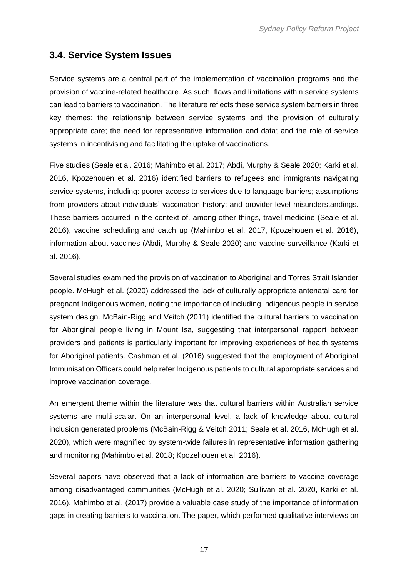### <span id="page-18-0"></span>**3.4. Service System Issues**

Service systems are a central part of the implementation of vaccination programs and the provision of vaccine-related healthcare. As such, flaws and limitations within service systems can lead to barriers to vaccination. The literature reflects these service system barriers in three key themes: the relationship between service systems and the provision of culturally appropriate care; the need for representative information and data; and the role of service systems in incentivising and facilitating the uptake of vaccinations.

Five studies (Seale et al. 2016; Mahimbo et al. 2017; Abdi, Murphy & Seale 2020; Karki et al. 2016, Kpozehouen et al. 2016) identified barriers to refugees and immigrants navigating service systems, including: poorer access to services due to language barriers; assumptions from providers about individuals' vaccination history; and provider-level misunderstandings. These barriers occurred in the context of, among other things, travel medicine (Seale et al. 2016), vaccine scheduling and catch up (Mahimbo et al. 2017, Kpozehouen et al. 2016), information about vaccines (Abdi, Murphy & Seale 2020) and vaccine surveillance (Karki et al. 2016).

Several studies examined the provision of vaccination to Aboriginal and Torres Strait Islander people. McHugh et al. (2020) addressed the lack of culturally appropriate antenatal care for pregnant Indigenous women, noting the importance of including Indigenous people in service system design. McBain-Rigg and Veitch (2011) identified the cultural barriers to vaccination for Aboriginal people living in Mount Isa, suggesting that interpersonal rapport between providers and patients is particularly important for improving experiences of health systems for Aboriginal patients. Cashman et al. (2016) suggested that the employment of Aboriginal Immunisation Officers could help refer Indigenous patients to cultural appropriate services and improve vaccination coverage.

An emergent theme within the literature was that cultural barriers within Australian service systems are multi-scalar. On an interpersonal level, a lack of knowledge about cultural inclusion generated problems (McBain-Rigg & Veitch 2011; Seale et al. 2016, McHugh et al. 2020), which were magnified by system-wide failures in representative information gathering and monitoring (Mahimbo et al. 2018; Kpozehouen et al. 2016).

Several papers have observed that a lack of information are barriers to vaccine coverage among disadvantaged communities (McHugh et al. 2020; Sullivan et al. 2020, Karki et al. 2016). Mahimbo et al. (2017) provide a valuable case study of the importance of information gaps in creating barriers to vaccination. The paper, which performed qualitative interviews on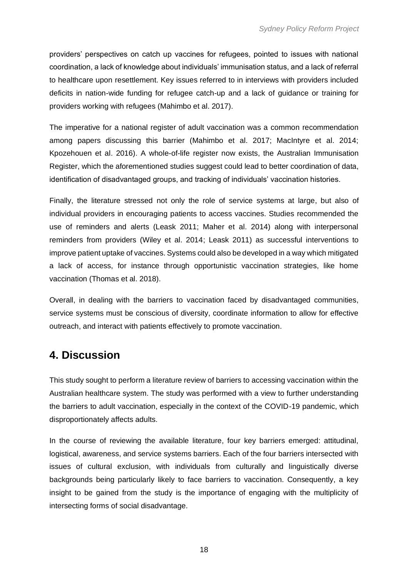providers' perspectives on catch up vaccines for refugees, pointed to issues with national coordination, a lack of knowledge about individuals' immunisation status, and a lack of referral to healthcare upon resettlement. Key issues referred to in interviews with providers included deficits in nation-wide funding for refugee catch-up and a lack of guidance or training for providers working with refugees (Mahimbo et al. 2017).

The imperative for a national register of adult vaccination was a common recommendation among papers discussing this barrier (Mahimbo et al. 2017; MacIntyre et al. 2014; Kpozehouen et al. 2016). A whole-of-life register now exists, the Australian Immunisation Register, which the aforementioned studies suggest could lead to better coordination of data, identification of disadvantaged groups, and tracking of individuals' vaccination histories.

Finally, the literature stressed not only the role of service systems at large, but also of individual providers in encouraging patients to access vaccines. Studies recommended the use of reminders and alerts (Leask 2011; Maher et al. 2014) along with interpersonal reminders from providers (Wiley et al. 2014; Leask 2011) as successful interventions to improve patient uptake of vaccines. Systems could also be developed in a way which mitigated a lack of access, for instance through opportunistic vaccination strategies, like home vaccination (Thomas et al. 2018).

Overall, in dealing with the barriers to vaccination faced by disadvantaged communities, service systems must be conscious of diversity, coordinate information to allow for effective outreach, and interact with patients effectively to promote vaccination.

# <span id="page-19-0"></span>**4. Discussion**

This study sought to perform a literature review of barriers to accessing vaccination within the Australian healthcare system. The study was performed with a view to further understanding the barriers to adult vaccination, especially in the context of the COVID-19 pandemic, which disproportionately affects adults.

In the course of reviewing the available literature, four key barriers emerged: attitudinal, logistical, awareness, and service systems barriers. Each of the four barriers intersected with issues of cultural exclusion, with individuals from culturally and linguistically diverse backgrounds being particularly likely to face barriers to vaccination. Consequently, a key insight to be gained from the study is the importance of engaging with the multiplicity of intersecting forms of social disadvantage.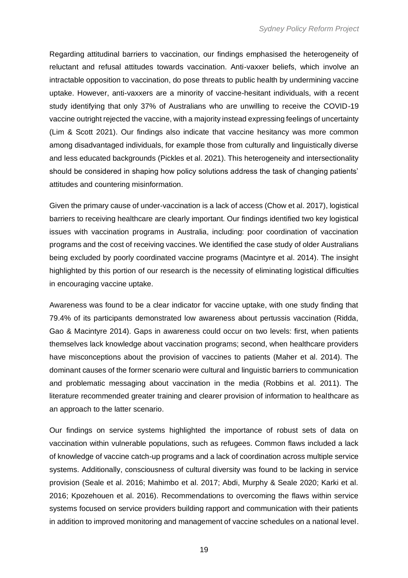Regarding attitudinal barriers to vaccination, our findings emphasised the heterogeneity of reluctant and refusal attitudes towards vaccination. Anti-vaxxer beliefs, which involve an intractable opposition to vaccination, do pose threats to public health by undermining vaccine uptake. However, anti-vaxxers are a minority of vaccine-hesitant individuals, with a recent study identifying that only 37% of Australians who are unwilling to receive the COVID-19 vaccine outright rejected the vaccine, with a majority instead expressing feelings of uncertainty (Lim & Scott 2021). Our findings also indicate that vaccine hesitancy was more common among disadvantaged individuals, for example those from culturally and linguistically diverse and less educated backgrounds (Pickles et al. 2021). This heterogeneity and intersectionality should be considered in shaping how policy solutions address the task of changing patients' attitudes and countering misinformation.

Given the primary cause of under-vaccination is a lack of access (Chow et al. 2017), logistical barriers to receiving healthcare are clearly important. Our findings identified two key logistical issues with vaccination programs in Australia, including: poor coordination of vaccination programs and the cost of receiving vaccines. We identified the case study of older Australians being excluded by poorly coordinated vaccine programs (Macintyre et al. 2014). The insight highlighted by this portion of our research is the necessity of eliminating logistical difficulties in encouraging vaccine uptake.

Awareness was found to be a clear indicator for vaccine uptake, with one study finding that 79.4% of its participants demonstrated low awareness about pertussis vaccination (Ridda, Gao & Macintyre 2014). Gaps in awareness could occur on two levels: first, when patients themselves lack knowledge about vaccination programs; second, when healthcare providers have misconceptions about the provision of vaccines to patients (Maher et al. 2014). The dominant causes of the former scenario were cultural and linguistic barriers to communication and problematic messaging about vaccination in the media (Robbins et al. 2011). The literature recommended greater training and clearer provision of information to healthcare as an approach to the latter scenario.

Our findings on service systems highlighted the importance of robust sets of data on vaccination within vulnerable populations, such as refugees. Common flaws included a lack of knowledge of vaccine catch-up programs and a lack of coordination across multiple service systems. Additionally, consciousness of cultural diversity was found to be lacking in service provision (Seale et al. 2016; Mahimbo et al. 2017; Abdi, Murphy & Seale 2020; Karki et al. 2016; Kpozehouen et al. 2016). Recommendations to overcoming the flaws within service systems focused on service providers building rapport and communication with their patients in addition to improved monitoring and management of vaccine schedules on a national level.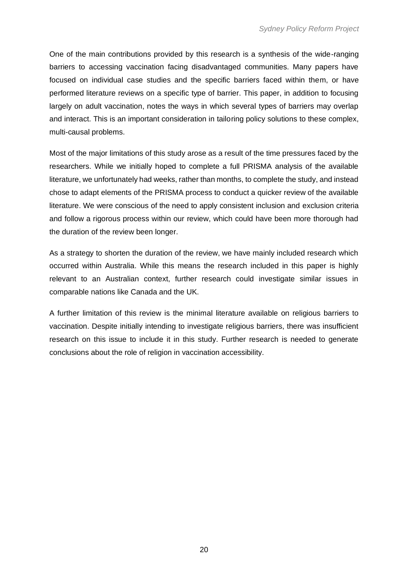One of the main contributions provided by this research is a synthesis of the wide-ranging barriers to accessing vaccination facing disadvantaged communities. Many papers have focused on individual case studies and the specific barriers faced within them, or have performed literature reviews on a specific type of barrier. This paper, in addition to focusing largely on adult vaccination, notes the ways in which several types of barriers may overlap and interact. This is an important consideration in tailoring policy solutions to these complex, multi-causal problems.

Most of the major limitations of this study arose as a result of the time pressures faced by the researchers. While we initially hoped to complete a full PRISMA analysis of the available literature, we unfortunately had weeks, rather than months, to complete the study, and instead chose to adapt elements of the PRISMA process to conduct a quicker review of the available literature. We were conscious of the need to apply consistent inclusion and exclusion criteria and follow a rigorous process within our review, which could have been more thorough had the duration of the review been longer.

As a strategy to shorten the duration of the review, we have mainly included research which occurred within Australia. While this means the research included in this paper is highly relevant to an Australian context, further research could investigate similar issues in comparable nations like Canada and the UK.

A further limitation of this review is the minimal literature available on religious barriers to vaccination. Despite initially intending to investigate religious barriers, there was insufficient research on this issue to include it in this study. Further research is needed to generate conclusions about the role of religion in vaccination accessibility.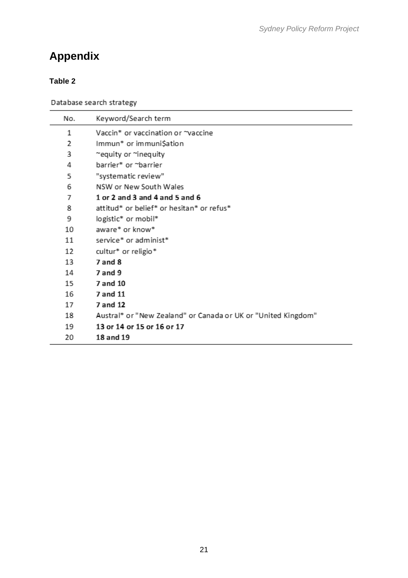# <span id="page-22-0"></span>**Appendix**

### **Table 2**

Database search strategy

| No. | Keyword/Search term                                           |
|-----|---------------------------------------------------------------|
| 1   | Vaccin* or vaccination or ~vaccine                            |
| 2   | Immun* or immuni\$ation                                       |
| 3   | ~equity or ~inequity                                          |
| 4   | barrier* or ~barrier                                          |
| 5   | "systematic review"                                           |
| 6   | NSW or New South Wales                                        |
| 7   | 1 or 2 and 3 and 4 and 5 and 6                                |
| 8   | attitud* or belief* or hesitan* or refus*                     |
| 9   | logistic* or mobil*                                           |
| 10  | aware* or know*                                               |
| 11  | service* or administ*                                         |
| 12  | cultur* or religio*                                           |
| 13  | 7 and 8                                                       |
| 14  | $7$ and $9$                                                   |
| 15  | 7 and 10                                                      |
| 16  | 7 and 11                                                      |
| 17  | 7 and 12                                                      |
| 18  | Austral* or "New Zealand" or Canada or UK or "United Kingdom" |
| 19  | 13 or 14 or 15 or 16 or 17                                    |
| 20  | 18 and 19                                                     |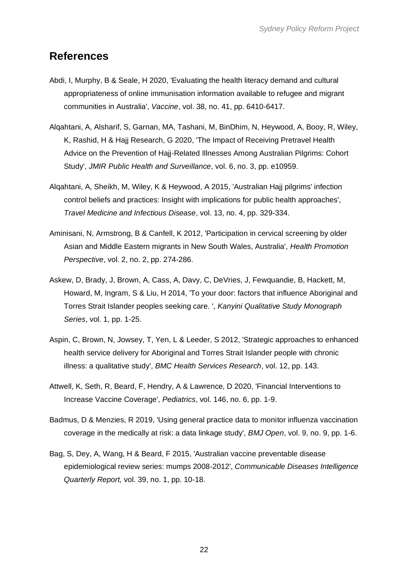## <span id="page-23-0"></span>**References**

- Abdi, I, Murphy, B & Seale, H 2020, 'Evaluating the health literacy demand and cultural appropriateness of online immunisation information available to refugee and migrant communities in Australia', *Vaccine*, vol. 38, no. 41, pp. 6410-6417.
- Alqahtani, A, Alsharif, S, Garnan, MA, Tashani, M, BinDhim, N, Heywood, A, Booy, R, Wiley, K, Rashid, H & Hajj Research, G 2020, 'The Impact of Receiving Pretravel Health Advice on the Prevention of Hajj-Related Illnesses Among Australian Pilgrims: Cohort Study', *JMIR Public Health and Surveillance*, vol. 6, no. 3, pp. e10959.
- Alqahtani, A, Sheikh, M, Wiley, K & Heywood, A 2015, 'Australian Hajj pilgrims' infection control beliefs and practices: Insight with implications for public health approaches', *Travel Medicine and Infectious Disease*, vol. 13, no. 4, pp. 329-334.
- Aminisani, N, Armstrong, B & Canfell, K 2012, 'Participation in cervical screening by older Asian and Middle Eastern migrants in New South Wales, Australia', *Health Promotion Perspective*, vol. 2, no. 2, pp. 274-286.
- Askew, D, Brady, J, Brown, A, Cass, A, Davy, C, DeVries, J, Fewquandie, B, Hackett, M, Howard, M, Ingram, S & Liu, H 2014, 'To your door: factors that influence Aboriginal and Torres Strait Islander peoples seeking care. ', *Kanyini Qualitative Study Monograph Series*, vol. 1, pp. 1-25.
- Aspin, C, Brown, N, Jowsey, T, Yen, L & Leeder, S 2012, 'Strategic approaches to enhanced health service delivery for Aboriginal and Torres Strait Islander people with chronic illness: a qualitative study', *BMC Health Services Research*, vol. 12, pp. 143.
- Attwell, K, Seth, R, Beard, F, Hendry, A & Lawrence, D 2020, 'Financial Interventions to Increase Vaccine Coverage', *Pediatrics*, vol. 146, no. 6, pp. 1-9.
- Badmus, D & Menzies, R 2019, 'Using general practice data to monitor influenza vaccination coverage in the medically at risk: a data linkage study', *BMJ Open*, vol. 9, no. 9, pp. 1-6.
- Bag, S, Dey, A, Wang, H & Beard, F 2015, 'Australian vaccine preventable disease epidemiological review series: mumps 2008-2012', *Communicable Diseases Intelligence Quarterly Report,* vol. 39, no. 1, pp. 10-18.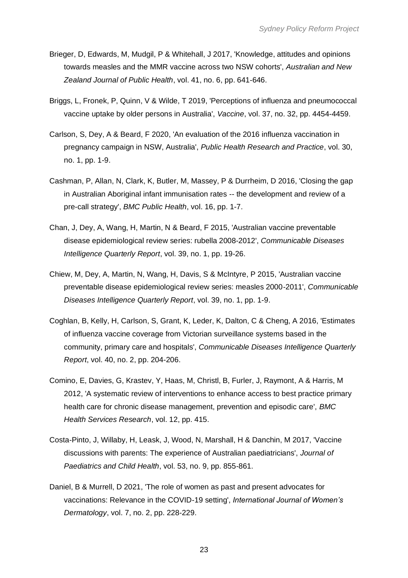- Brieger, D, Edwards, M, Mudgil, P & Whitehall, J 2017, 'Knowledge, attitudes and opinions towards measles and the MMR vaccine across two NSW cohorts', *Australian and New Zealand Journal of Public Health*, vol. 41, no. 6, pp. 641-646.
- Briggs, L, Fronek, P, Quinn, V & Wilde, T 2019, 'Perceptions of influenza and pneumococcal vaccine uptake by older persons in Australia', *Vaccine*, vol. 37, no. 32, pp. 4454-4459.
- Carlson, S, Dey, A & Beard, F 2020, 'An evaluation of the 2016 influenza vaccination in pregnancy campaign in NSW, Australia', *Public Health Research and Practice*, vol. 30, no. 1, pp. 1-9.
- Cashman, P, Allan, N, Clark, K, Butler, M, Massey, P & Durrheim, D 2016, 'Closing the gap in Australian Aboriginal infant immunisation rates -- the development and review of a pre-call strategy', *BMC Public Health*, vol. 16, pp. 1-7.
- Chan, J, Dey, A, Wang, H, Martin, N & Beard, F 2015, 'Australian vaccine preventable disease epidemiological review series: rubella 2008-2012', *Communicable Diseases Intelligence Quarterly Report*, vol. 39, no. 1, pp. 19-26.
- Chiew, M, Dey, A, Martin, N, Wang, H, Davis, S & McIntyre, P 2015, 'Australian vaccine preventable disease epidemiological review series: measles 2000-2011', *Communicable Diseases Intelligence Quarterly Report*, vol. 39, no. 1, pp. 1-9.
- Coghlan, B, Kelly, H, Carlson, S, Grant, K, Leder, K, Dalton, C & Cheng, A 2016, 'Estimates of influenza vaccine coverage from Victorian surveillance systems based in the community, primary care and hospitals', *Communicable Diseases Intelligence Quarterly Report*, vol. 40, no. 2, pp. 204-206.
- Comino, E, Davies, G, Krastev, Y, Haas, M, Christl, B, Furler, J, Raymont, A & Harris, M 2012, 'A systematic review of interventions to enhance access to best practice primary health care for chronic disease management, prevention and episodic care', *BMC Health Services Research*, vol. 12, pp. 415.
- Costa-Pinto, J, Willaby, H, Leask, J, Wood, N, Marshall, H & Danchin, M 2017, 'Vaccine discussions with parents: The experience of Australian paediatricians', *Journal of Paediatrics and Child Health*, vol. 53, no. 9, pp. 855-861.
- Daniel, B & Murrell, D 2021, 'The role of women as past and present advocates for vaccinations: Relevance in the COVID-19 setting', *International Journal of Women's Dermatology*, vol. 7, no. 2, pp. 228-229.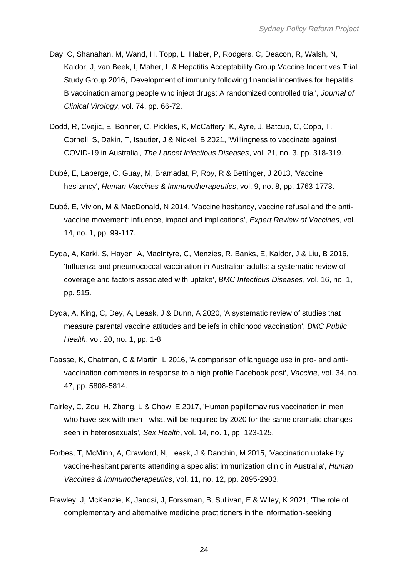- Day, C, Shanahan, M, Wand, H, Topp, L, Haber, P, Rodgers, C, Deacon, R, Walsh, N, Kaldor, J, van Beek, I, Maher, L & Hepatitis Acceptability Group Vaccine Incentives Trial Study Group 2016, 'Development of immunity following financial incentives for hepatitis B vaccination among people who inject drugs: A randomized controlled trial', *Journal of Clinical Virology*, vol. 74, pp. 66-72.
- Dodd, R, Cvejic, E, Bonner, C, Pickles, K, McCaffery, K, Ayre, J, Batcup, C, Copp, T, Cornell, S, Dakin, T, Isautier, J & Nickel, B 2021, 'Willingness to vaccinate against COVID-19 in Australia', *The Lancet Infectious Diseases*, vol. 21, no. 3, pp. 318-319.
- Dubé, E, Laberge, C, Guay, M, Bramadat, P, Roy, R & Bettinger, J 2013, 'Vaccine hesitancy', *Human Vaccines & Immunotherapeutics*, vol. 9, no. 8, pp. 1763-1773.
- Dubé, E, Vivion, M & MacDonald, N 2014, 'Vaccine hesitancy, vaccine refusal and the antivaccine movement: influence, impact and implications', *Expert Review of Vaccines*, vol. 14, no. 1, pp. 99-117.
- Dyda, A, Karki, S, Hayen, A, MacIntyre, C, Menzies, R, Banks, E, Kaldor, J & Liu, B 2016, 'Influenza and pneumococcal vaccination in Australian adults: a systematic review of coverage and factors associated with uptake', *BMC Infectious Diseases*, vol. 16, no. 1, pp. 515.
- Dyda, A, King, C, Dey, A, Leask, J & Dunn, A 2020, 'A systematic review of studies that measure parental vaccine attitudes and beliefs in childhood vaccination', *BMC Public Health*, vol. 20, no. 1, pp. 1-8.
- Faasse, K, Chatman, C & Martin, L 2016, 'A comparison of language use in pro- and antivaccination comments in response to a high profile Facebook post', *Vaccine*, vol. 34, no. 47, pp. 5808-5814.
- Fairley, C, Zou, H, Zhang, L & Chow, E 2017, 'Human papillomavirus vaccination in men who have sex with men - what will be required by 2020 for the same dramatic changes seen in heterosexuals', *Sex Health*, vol. 14, no. 1, pp. 123-125.
- Forbes, T, McMinn, A, Crawford, N, Leask, J & Danchin, M 2015, 'Vaccination uptake by vaccine-hesitant parents attending a specialist immunization clinic in Australia', *Human Vaccines & Immunotherapeutics*, vol. 11, no. 12, pp. 2895-2903.
- Frawley, J, McKenzie, K, Janosi, J, Forssman, B, Sullivan, E & Wiley, K 2021, 'The role of complementary and alternative medicine practitioners in the information-seeking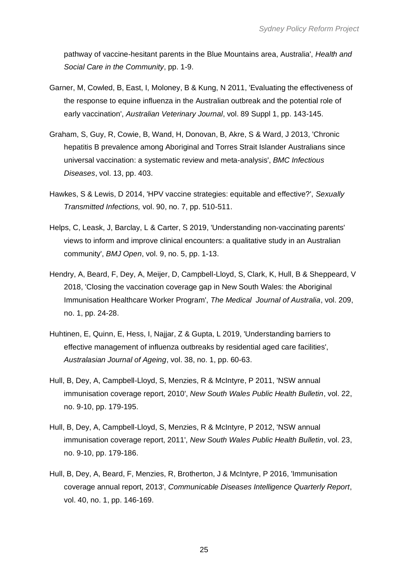pathway of vaccine-hesitant parents in the Blue Mountains area, Australia', *Health and Social Care in the Community*, pp. 1-9.

- Garner, M, Cowled, B, East, I, Moloney, B & Kung, N 2011, 'Evaluating the effectiveness of the response to equine influenza in the Australian outbreak and the potential role of early vaccination', *Australian Veterinary Journal*, vol. 89 Suppl 1, pp. 143-145.
- Graham, S, Guy, R, Cowie, B, Wand, H, Donovan, B, Akre, S & Ward, J 2013, 'Chronic hepatitis B prevalence among Aboriginal and Torres Strait Islander Australians since universal vaccination: a systematic review and meta-analysis', *BMC Infectious Diseases*, vol. 13, pp. 403.
- Hawkes, S & Lewis, D 2014, 'HPV vaccine strategies: equitable and effective?', *Sexually Transmitted Infections,* vol. 90, no. 7, pp. 510-511.
- Helps, C, Leask, J, Barclay, L & Carter, S 2019, 'Understanding non-vaccinating parents' views to inform and improve clinical encounters: a qualitative study in an Australian community', *BMJ Open*, vol. 9, no. 5, pp. 1-13.
- Hendry, A, Beard, F, Dey, A, Meijer, D, Campbell-Lloyd, S, Clark, K, Hull, B & Sheppeard, V 2018, 'Closing the vaccination coverage gap in New South Wales: the Aboriginal Immunisation Healthcare Worker Program', *The Medical Journal of Australia*, vol. 209, no. 1, pp. 24-28.
- Huhtinen, E, Quinn, E, Hess, I, Najjar, Z & Gupta, L 2019, 'Understanding barriers to effective management of influenza outbreaks by residential aged care facilities', *Australasian Journal of Ageing*, vol. 38, no. 1, pp. 60-63.
- Hull, B, Dey, A, Campbell-Lloyd, S, Menzies, R & McIntyre, P 2011, 'NSW annual immunisation coverage report, 2010', *New South Wales Public Health Bulletin*, vol. 22, no. 9-10, pp. 179-195.
- Hull, B, Dey, A, Campbell-Lloyd, S, Menzies, R & McIntyre, P 2012, 'NSW annual immunisation coverage report, 2011', *New South Wales Public Health Bulletin*, vol. 23, no. 9-10, pp. 179-186.
- Hull, B, Dey, A, Beard, F, Menzies, R, Brotherton, J & McIntyre, P 2016, 'Immunisation coverage annual report, 2013', *Communicable Diseases Intelligence Quarterly Report*, vol. 40, no. 1, pp. 146-169.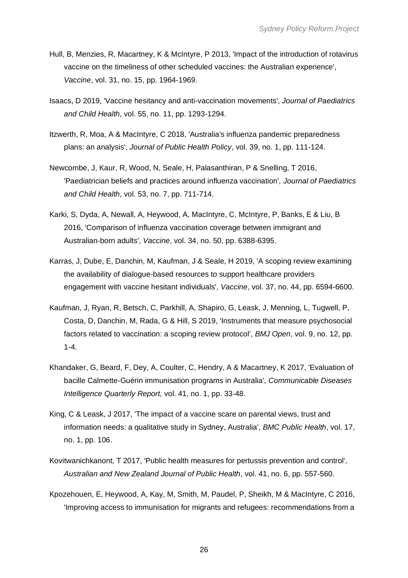- Hull, B, Menzies, R, Macartney, K & McIntyre, P 2013, 'Impact of the introduction of rotavirus vaccine on the timeliness of other scheduled vaccines: the Australian experience', *Vaccine*, vol. 31, no. 15, pp. 1964-1969.
- Isaacs, D 2019, 'Vaccine hesitancy and anti-vaccination movements', *Journal of Paediatrics and Child Health*, vol. 55, no. 11, pp. 1293-1294.
- Itzwerth, R, Moa, A & MacIntyre, C 2018, 'Australia's influenza pandemic preparedness plans: an analysis', *Journal of Public Health Policy*, vol. 39, no. 1, pp. 111-124.
- Newcombe, J, Kaur, R, Wood, N, Seale, H, Palasanthiran, P & Snelling, T 2016, 'Paediatrician beliefs and practices around influenza vaccination', *Journal of Paediatrics and Child Health*, vol. 53, no. 7, pp. 711-714.
- Karki, S, Dyda, A, Newall, A, Heywood, A, MacIntyre, C, McIntyre, P, Banks, E & Liu, B 2016, 'Comparison of influenza vaccination coverage between immigrant and Australian-born adults', *Vaccine*, vol. 34, no. 50, pp. 6388-6395.
- Karras, J, Dube, E, Danchin, M, Kaufman, J & Seale, H 2019, 'A scoping review examining the availability of dialogue-based resources to support healthcare providers engagement with vaccine hesitant individuals', *Vaccine*, vol. 37, no. 44, pp. 6594-6600.
- Kaufman, J, Ryan, R, Betsch, C, Parkhill, A, Shapiro, G, Leask, J, Menning, L, Tugwell, P, Costa, D, Danchin, M, Rada, G & Hill, S 2019, 'Instruments that measure psychosocial factors related to vaccination: a scoping review protocol', *BMJ Open*, vol. 9, no. 12, pp. 1-4.
- Khandaker, G, Beard, F, Dey, A, Coulter, C, Hendry, A & Macartney, K 2017, 'Evaluation of bacille Calmette-Guérin immunisation programs in Australia', *Communicable Diseases Intelligence Quarterly Report,* vol. 41, no. 1, pp. 33-48.
- King, C & Leask, J 2017, 'The impact of a vaccine scare on parental views, trust and information needs: a qualitative study in Sydney, Australia', *BMC Public Health*, vol. 17, no. 1, pp. 106.
- Kovitwanichkanont, T 2017, 'Public health measures for pertussis prevention and control', *Australian and New Zealand Journal of Public Health*, vol. 41, no. 6, pp. 557-560.
- Kpozehouen, E, Heywood, A, Kay, M, Smith, M, Paudel, P, Sheikh, M & MacIntyre, C 2016, 'Improving access to immunisation for migrants and refugees: recommendations from a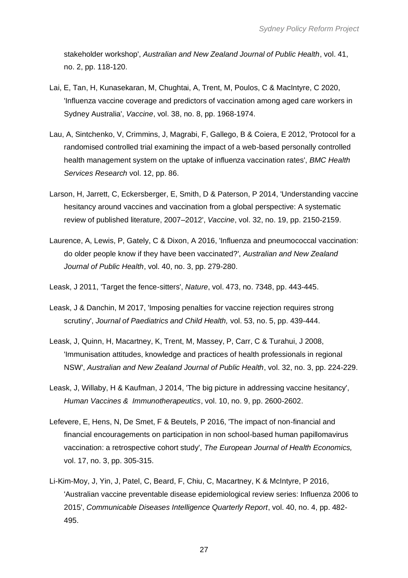stakeholder workshop', *Australian and New Zealand Journal of Public Health*, vol. 41, no. 2, pp. 118-120.

- Lai, E, Tan, H, Kunasekaran, M, Chughtai, A, Trent, M, Poulos, C & MacIntyre, C 2020, 'Influenza vaccine coverage and predictors of vaccination among aged care workers in Sydney Australia', *Vaccine*, vol. 38, no. 8, pp. 1968-1974.
- Lau, A, Sintchenko, V, Crimmins, J, Magrabi, F, Gallego, B & Coiera, E 2012, 'Protocol for a randomised controlled trial examining the impact of a web-based personally controlled health management system on the uptake of influenza vaccination rates', *BMC Health Services Research* vol. 12, pp. 86.
- Larson, H, Jarrett, C, Eckersberger, E, Smith, D & Paterson, P 2014, 'Understanding vaccine hesitancy around vaccines and vaccination from a global perspective: A systematic review of published literature, 2007–2012', *Vaccine*, vol. 32, no. 19, pp. 2150-2159.
- Laurence, A, Lewis, P, Gately, C & Dixon, A 2016, 'Influenza and pneumococcal vaccination: do older people know if they have been vaccinated?', *Australian and New Zealand Journal of Public Health*, vol. 40, no. 3, pp. 279-280.
- Leask, J 2011, 'Target the fence-sitters', *Nature*, vol. 473, no. 7348, pp. 443-445.
- Leask, J & Danchin, M 2017, 'Imposing penalties for vaccine rejection requires strong scrutiny', *Journal of Paediatrics and Child Health,* vol. 53, no. 5, pp. 439-444.
- Leask, J, Quinn, H, Macartney, K, Trent, M, Massey, P, Carr, C & Turahui, J 2008, 'Immunisation attitudes, knowledge and practices of health professionals in regional NSW', *Australian and New Zealand Journal of Public Health*, vol. 32, no. 3, pp. 224-229.
- Leask, J, Willaby, H & Kaufman, J 2014, 'The big picture in addressing vaccine hesitancy', *Human Vaccines & Immunotherapeutics*, vol. 10, no. 9, pp. 2600-2602.
- Lefevere, E, Hens, N, De Smet, F & Beutels, P 2016, 'The impact of non-financial and financial encouragements on participation in non school-based human papillomavirus vaccination: a retrospective cohort study', *The European Journal of Health Economics,* vol. 17, no. 3, pp. 305-315.
- Li-Kim-Moy, J, Yin, J, Patel, C, Beard, F, Chiu, C, Macartney, K & McIntyre, P 2016, 'Australian vaccine preventable disease epidemiological review series: Influenza 2006 to 2015', *Communicable Diseases Intelligence Quarterly Report*, vol. 40, no. 4, pp. 482- 495.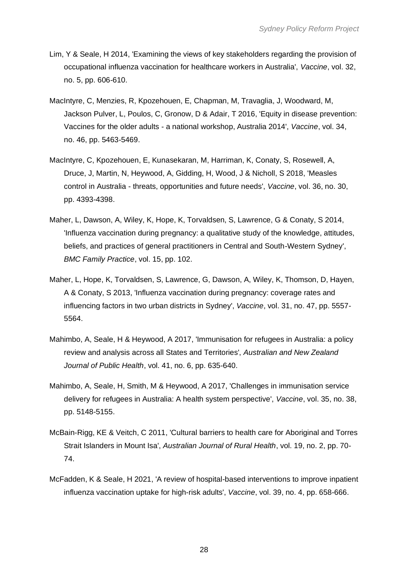- Lim, Y & Seale, H 2014, 'Examining the views of key stakeholders regarding the provision of occupational influenza vaccination for healthcare workers in Australia', *Vaccine*, vol. 32, no. 5, pp. 606-610.
- MacIntyre, C, Menzies, R, Kpozehouen, E, Chapman, M, Travaglia, J, Woodward, M, Jackson Pulver, L, Poulos, C, Gronow, D & Adair, T 2016, 'Equity in disease prevention: Vaccines for the older adults - a national workshop, Australia 2014', *Vaccine*, vol. 34, no. 46, pp. 5463-5469.
- MacIntyre, C, Kpozehouen, E, Kunasekaran, M, Harriman, K, Conaty, S, Rosewell, A, Druce, J, Martin, N, Heywood, A, Gidding, H, Wood, J & Nicholl, S 2018, 'Measles control in Australia - threats, opportunities and future needs', *Vaccine*, vol. 36, no. 30, pp. 4393-4398.
- Maher, L, Dawson, A, Wiley, K, Hope, K, Torvaldsen, S, Lawrence, G & Conaty, S 2014, 'Influenza vaccination during pregnancy: a qualitative study of the knowledge, attitudes, beliefs, and practices of general practitioners in Central and South-Western Sydney', *BMC Family Practice*, vol. 15, pp. 102.
- Maher, L, Hope, K, Torvaldsen, S, Lawrence, G, Dawson, A, Wiley, K, Thomson, D, Hayen, A & Conaty, S 2013, 'Influenza vaccination during pregnancy: coverage rates and influencing factors in two urban districts in Sydney', *Vaccine*, vol. 31, no. 47, pp. 5557- 5564.
- Mahimbo, A, Seale, H & Heywood, A 2017, 'Immunisation for refugees in Australia: a policy review and analysis across all States and Territories', *Australian and New Zealand Journal of Public Health*, vol. 41, no. 6, pp. 635-640.
- Mahimbo, A, Seale, H, Smith, M & Heywood, A 2017, 'Challenges in immunisation service delivery for refugees in Australia: A health system perspective', *Vaccine*, vol. 35, no. 38, pp. 5148-5155.
- McBain-Rigg, KE & Veitch, C 2011, 'Cultural barriers to health care for Aboriginal and Torres Strait Islanders in Mount Isa', *Australian Journal of Rural Health*, vol. 19, no. 2, pp. 70- 74.
- McFadden, K & Seale, H 2021, 'A review of hospital-based interventions to improve inpatient influenza vaccination uptake for high-risk adults', *Vaccine*, vol. 39, no. 4, pp. 658-666.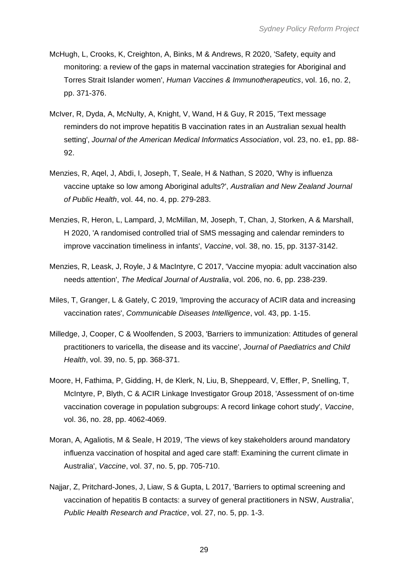- McHugh, L, Crooks, K, Creighton, A, Binks, M & Andrews, R 2020, 'Safety, equity and monitoring: a review of the gaps in maternal vaccination strategies for Aboriginal and Torres Strait Islander women', *Human Vaccines & Immunotherapeutics*, vol. 16, no. 2, pp. 371-376.
- McIver, R, Dyda, A, McNulty, A, Knight, V, Wand, H & Guy, R 2015, 'Text message reminders do not improve hepatitis B vaccination rates in an Australian sexual health setting', *Journal of the American Medical Informatics Association*, vol. 23, no. e1, pp. 88- 92.
- Menzies, R, Aqel, J, Abdi, I, Joseph, T, Seale, H & Nathan, S 2020, 'Why is influenza vaccine uptake so low among Aboriginal adults?', *Australian and New Zealand Journal of Public Health*, vol. 44, no. 4, pp. 279-283.
- Menzies, R, Heron, L, Lampard, J, McMillan, M, Joseph, T, Chan, J, Storken, A & Marshall, H 2020, 'A randomised controlled trial of SMS messaging and calendar reminders to improve vaccination timeliness in infants', *Vaccine*, vol. 38, no. 15, pp. 3137-3142.
- Menzies, R, Leask, J, Royle, J & MacIntyre, C 2017, 'Vaccine myopia: adult vaccination also needs attention', *The Medical Journal of Australia*, vol. 206, no. 6, pp. 238-239.
- Miles, T, Granger, L & Gately, C 2019, 'Improving the accuracy of ACIR data and increasing vaccination rates', *Communicable Diseases Intelligence*, vol. 43, pp. 1-15.
- Milledge, J, Cooper, C & Woolfenden, S 2003, 'Barriers to immunization: Attitudes of general practitioners to varicella, the disease and its vaccine', *Journal of Paediatrics and Child Health*, vol. 39, no. 5, pp. 368-371.
- Moore, H, Fathima, P, Gidding, H, de Klerk, N, Liu, B, Sheppeard, V, Effler, P, Snelling, T, McIntyre, P, Blyth, C & ACIR Linkage Investigator Group 2018, 'Assessment of on-time vaccination coverage in population subgroups: A record linkage cohort study', *Vaccine*, vol. 36, no. 28, pp. 4062-4069.
- Moran, A, Agaliotis, M & Seale, H 2019, 'The views of key stakeholders around mandatory influenza vaccination of hospital and aged care staff: Examining the current climate in Australia', *Vaccine*, vol. 37, no. 5, pp. 705-710.
- Najjar, Z, Pritchard-Jones, J, Liaw, S & Gupta, L 2017, 'Barriers to optimal screening and vaccination of hepatitis B contacts: a survey of general practitioners in NSW, Australia', *Public Health Research and Practice*, vol. 27, no. 5, pp. 1-3.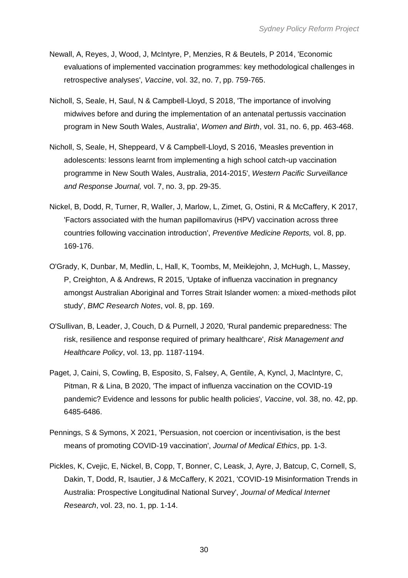- Newall, A, Reyes, J, Wood, J, McIntyre, P, Menzies, R & Beutels, P 2014, 'Economic evaluations of implemented vaccination programmes: key methodological challenges in retrospective analyses', *Vaccine*, vol. 32, no. 7, pp. 759-765.
- Nicholl, S, Seale, H, Saul, N & Campbell-Lloyd, S 2018, 'The importance of involving midwives before and during the implementation of an antenatal pertussis vaccination program in New South Wales, Australia', *Women and Birth*, vol. 31, no. 6, pp. 463-468.
- Nicholl, S, Seale, H, Sheppeard, V & Campbell-Lloyd, S 2016, 'Measles prevention in adolescents: lessons learnt from implementing a high school catch-up vaccination programme in New South Wales, Australia, 2014-2015', *Western Pacific Surveillance and Response Journal,* vol. 7, no. 3, pp. 29-35.
- Nickel, B, Dodd, R, Turner, R, Waller, J, Marlow, L, Zimet, G, Ostini, R & McCaffery, K 2017, 'Factors associated with the human papillomavirus (HPV) vaccination across three countries following vaccination introduction', *Preventive Medicine Reports,* vol. 8, pp. 169-176.
- O'Grady, K, Dunbar, M, Medlin, L, Hall, K, Toombs, M, Meiklejohn, J, McHugh, L, Massey, P, Creighton, A & Andrews, R 2015, 'Uptake of influenza vaccination in pregnancy amongst Australian Aboriginal and Torres Strait Islander women: a mixed-methods pilot study', *BMC Research Notes*, vol. 8, pp. 169.
- O'Sullivan, B, Leader, J, Couch, D & Purnell, J 2020, 'Rural pandemic preparedness: The risk, resilience and response required of primary healthcare', *Risk Management and Healthcare Policy*, vol. 13, pp. 1187-1194.
- Paget, J, Caini, S, Cowling, B, Esposito, S, Falsey, A, Gentile, A, Kyncl, J, MacIntyre, C, Pitman, R & Lina, B 2020, 'The impact of influenza vaccination on the COVID-19 pandemic? Evidence and lessons for public health policies', *Vaccine*, vol. 38, no. 42, pp. 6485-6486.
- Pennings, S & Symons, X 2021, 'Persuasion, not coercion or incentivisation, is the best means of promoting COVID-19 vaccination', *Journal of Medical Ethics*, pp. 1-3.
- Pickles, K, Cvejic, E, Nickel, B, Copp, T, Bonner, C, Leask, J, Ayre, J, Batcup, C, Cornell, S, Dakin, T, Dodd, R, Isautier, J & McCaffery, K 2021, 'COVID-19 Misinformation Trends in Australia: Prospective Longitudinal National Survey', *Journal of Medical Internet Research*, vol. 23, no. 1, pp. 1-14.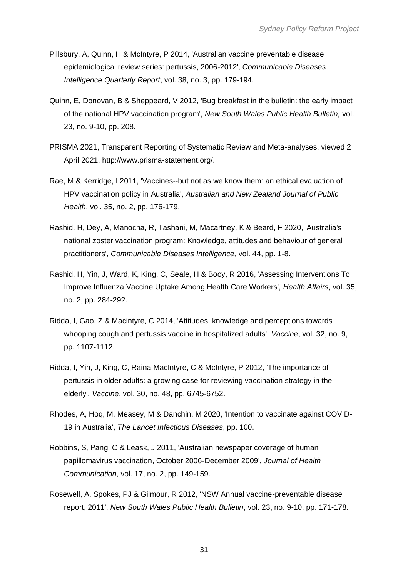- Pillsbury, A, Quinn, H & McIntyre, P 2014, 'Australian vaccine preventable disease epidemiological review series: pertussis, 2006-2012', *Communicable Diseases Intelligence Quarterly Report*, vol. 38, no. 3, pp. 179-194.
- Quinn, E, Donovan, B & Sheppeard, V 2012, 'Bug breakfast in the bulletin: the early impact of the national HPV vaccination program', *New South Wales Public Health Bulletin,* vol. 23, no. 9-10, pp. 208.
- PRISMA 2021, Transparent Reporting of Systematic Review and Meta-analyses, viewed 2 April 2021, http://www.prisma-statement.org/.
- Rae, M & Kerridge, I 2011, 'Vaccines--but not as we know them: an ethical evaluation of HPV vaccination policy in Australia', *Australian and New Zealand Journal of Public Health*, vol. 35, no. 2, pp. 176-179.
- Rashid, H, Dey, A, Manocha, R, Tashani, M, Macartney, K & Beard, F 2020, 'Australia's national zoster vaccination program: Knowledge, attitudes and behaviour of general practitioners', *Communicable Diseases Intelligence,* vol. 44, pp. 1-8.
- Rashid, H, Yin, J, Ward, K, King, C, Seale, H & Booy, R 2016, 'Assessing Interventions To Improve Influenza Vaccine Uptake Among Health Care Workers', *Health Affairs*, vol. 35, no. 2, pp. 284-292.
- Ridda, I, Gao, Z & Macintyre, C 2014, 'Attitudes, knowledge and perceptions towards whooping cough and pertussis vaccine in hospitalized adults', *Vaccine*, vol. 32, no. 9, pp. 1107-1112.
- Ridda, I, Yin, J, King, C, Raina MacIntyre, C & McIntyre, P 2012, 'The importance of pertussis in older adults: a growing case for reviewing vaccination strategy in the elderly', *Vaccine*, vol. 30, no. 48, pp. 6745-6752.
- Rhodes, A, Hoq, M, Measey, M & Danchin, M 2020, 'Intention to vaccinate against COVID-19 in Australia', *The Lancet Infectious Diseases*, pp. 100.
- Robbins, S, Pang, C & Leask, J 2011, 'Australian newspaper coverage of human papillomavirus vaccination, October 2006-December 2009', *Journal of Health Communication*, vol. 17, no. 2, pp. 149-159.
- Rosewell, A, Spokes, PJ & Gilmour, R 2012, 'NSW Annual vaccine-preventable disease report, 2011', *New South Wales Public Health Bulletin*, vol. 23, no. 9-10, pp. 171-178.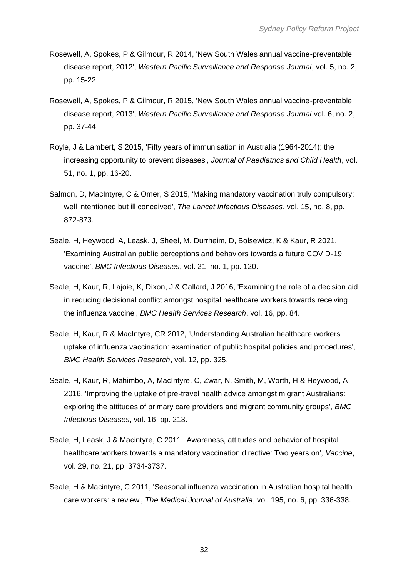- Rosewell, A, Spokes, P & Gilmour, R 2014, 'New South Wales annual vaccine-preventable disease report, 2012', *Western Pacific Surveillance and Response Journal*, vol. 5, no. 2, pp. 15-22.
- Rosewell, A, Spokes, P & Gilmour, R 2015, 'New South Wales annual vaccine-preventable disease report, 2013', *Western Pacific Surveillance and Response Journal* vol. 6, no. 2, pp. 37-44.
- Royle, J & Lambert, S 2015, 'Fifty years of immunisation in Australia (1964-2014): the increasing opportunity to prevent diseases', *Journal of Paediatrics and Child Health*, vol. 51, no. 1, pp. 16-20.
- Salmon, D, MacIntyre, C & Omer, S 2015, 'Making mandatory vaccination truly compulsory: well intentioned but ill conceived', *The Lancet Infectious Diseases*, vol. 15, no. 8, pp. 872-873.
- Seale, H, Heywood, A, Leask, J, Sheel, M, Durrheim, D, Bolsewicz, K & Kaur, R 2021, 'Examining Australian public perceptions and behaviors towards a future COVID-19 vaccine', *BMC Infectious Diseases*, vol. 21, no. 1, pp. 120.
- Seale, H, Kaur, R, Lajoie, K, Dixon, J & Gallard, J 2016, 'Examining the role of a decision aid in reducing decisional conflict amongst hospital healthcare workers towards receiving the influenza vaccine', *BMC Health Services Research*, vol. 16, pp. 84.
- Seale, H, Kaur, R & MacIntyre, CR 2012, 'Understanding Australian healthcare workers' uptake of influenza vaccination: examination of public hospital policies and procedures', *BMC Health Services Research*, vol. 12, pp. 325.
- Seale, H, Kaur, R, Mahimbo, A, MacIntyre, C, Zwar, N, Smith, M, Worth, H & Heywood, A 2016, 'Improving the uptake of pre-travel health advice amongst migrant Australians: exploring the attitudes of primary care providers and migrant community groups', *BMC Infectious Diseases*, vol. 16, pp. 213.
- Seale, H, Leask, J & Macintyre, C 2011, 'Awareness, attitudes and behavior of hospital healthcare workers towards a mandatory vaccination directive: Two years on', *Vaccine*, vol. 29, no. 21, pp. 3734-3737.
- Seale, H & Macintyre, C 2011, 'Seasonal influenza vaccination in Australian hospital health care workers: a review', *The Medical Journal of Australia*, vol. 195, no. 6, pp. 336-338.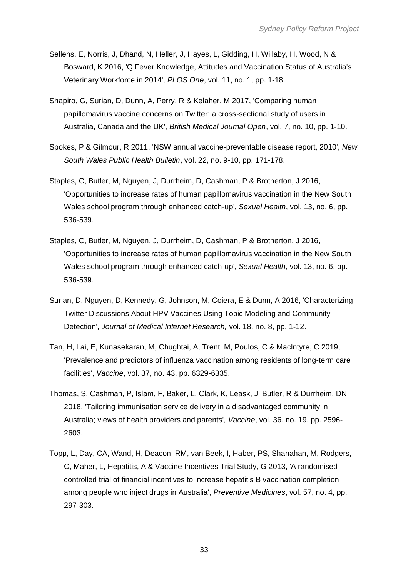- Sellens, E, Norris, J, Dhand, N, Heller, J, Hayes, L, Gidding, H, Willaby, H, Wood, N & Bosward, K 2016, 'Q Fever Knowledge, Attitudes and Vaccination Status of Australia's Veterinary Workforce in 2014', *PLOS One*, vol. 11, no. 1, pp. 1-18.
- Shapiro, G, Surian, D, Dunn, A, Perry, R & Kelaher, M 2017, 'Comparing human papillomavirus vaccine concerns on Twitter: a cross-sectional study of users in Australia, Canada and the UK', *British Medical Journal Open*, vol. 7, no. 10, pp. 1-10.
- Spokes, P & Gilmour, R 2011, 'NSW annual vaccine-preventable disease report, 2010', *New South Wales Public Health Bulletin*, vol. 22, no. 9-10, pp. 171-178.
- Staples, C, Butler, M, Nguyen, J, Durrheim, D, Cashman, P & Brotherton, J 2016, 'Opportunities to increase rates of human papillomavirus vaccination in the New South Wales school program through enhanced catch-up', *Sexual Health*, vol. 13, no. 6, pp. 536-539.
- Staples, C, Butler, M, Nguyen, J, Durrheim, D, Cashman, P & Brotherton, J 2016, 'Opportunities to increase rates of human papillomavirus vaccination in the New South Wales school program through enhanced catch‐up', *Sexual Health*, vol. 13, no. 6, pp. 536-539.
- Surian, D, Nguyen, D, Kennedy, G, Johnson, M, Coiera, E & Dunn, A 2016, 'Characterizing Twitter Discussions About HPV Vaccines Using Topic Modeling and Community Detection', *Journal of Medical Internet Research,* vol. 18, no. 8, pp. 1-12.
- Tan, H, Lai, E, Kunasekaran, M, Chughtai, A, Trent, M, Poulos, C & MacIntyre, C 2019, 'Prevalence and predictors of influenza vaccination among residents of long-term care facilities', *Vaccine*, vol. 37, no. 43, pp. 6329-6335.
- Thomas, S, Cashman, P, Islam, F, Baker, L, Clark, K, Leask, J, Butler, R & Durrheim, DN 2018, 'Tailoring immunisation service delivery in a disadvantaged community in Australia; views of health providers and parents', *Vaccine*, vol. 36, no. 19, pp. 2596- 2603.
- Topp, L, Day, CA, Wand, H, Deacon, RM, van Beek, I, Haber, PS, Shanahan, M, Rodgers, C, Maher, L, Hepatitis, A & Vaccine Incentives Trial Study, G 2013, 'A randomised controlled trial of financial incentives to increase hepatitis B vaccination completion among people who inject drugs in Australia', *Preventive Medicines*, vol. 57, no. 4, pp. 297-303.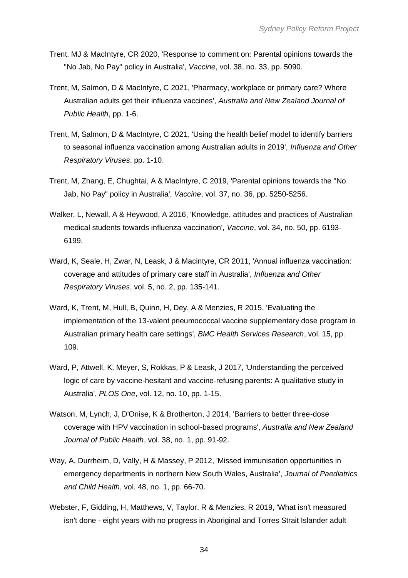- Trent, MJ & MacIntyre, CR 2020, 'Response to comment on: Parental opinions towards the "No Jab, No Pay" policy in Australia', *Vaccine*, vol. 38, no. 33, pp. 5090.
- Trent, M, Salmon, D & MacIntyre, C 2021, 'Pharmacy, workplace or primary care? Where Australian adults get their influenza vaccines', *Australia and New Zealand Journal of Public Health*, pp. 1-6.
- Trent, M, Salmon, D & MacIntyre, C 2021, 'Using the health belief model to identify barriers to seasonal influenza vaccination among Australian adults in 2019', *Influenza and Other Respiratory Viruses*, pp. 1-10.
- Trent, M, Zhang, E, Chughtai, A & MacIntyre, C 2019, 'Parental opinions towards the "No Jab, No Pay" policy in Australia', *Vaccine*, vol. 37, no. 36, pp. 5250-5256.
- Walker, L, Newall, A & Heywood, A 2016, 'Knowledge, attitudes and practices of Australian medical students towards influenza vaccination', *Vaccine*, vol. 34, no. 50, pp. 6193- 6199.
- Ward, K, Seale, H, Zwar, N, Leask, J & Macintyre, CR 2011, 'Annual influenza vaccination: coverage and attitudes of primary care staff in Australia', *Influenza and Other Respiratory Viruses*, vol. 5, no. 2, pp. 135-141.
- Ward, K, Trent, M, Hull, B, Quinn, H, Dey, A & Menzies, R 2015, 'Evaluating the implementation of the 13-valent pneumococcal vaccine supplementary dose program in Australian primary health care settings', *BMC Health Services Research*, vol. 15, pp. 109.
- Ward, P, Attwell, K, Meyer, S, Rokkas, P & Leask, J 2017, 'Understanding the perceived logic of care by vaccine-hesitant and vaccine-refusing parents: A qualitative study in Australia', *PLOS One*, vol. 12, no. 10, pp. 1-15.
- Watson, M, Lynch, J, D'Onise, K & Brotherton, J 2014, 'Barriers to better three-dose coverage with HPV vaccination in school-based programs', *Australia and New Zealand Journal of Public Health*, vol. 38, no. 1, pp. 91-92.
- Way, A, Durrheim, D, Vally, H & Massey, P 2012, 'Missed immunisation opportunities in emergency departments in northern New South Wales, Australia', *Journal of Paediatrics and Child Health*, vol. 48, no. 1, pp. 66-70.
- Webster, F, Gidding, H, Matthews, V, Taylor, R & Menzies, R 2019, 'What isn't measured isn't done - eight years with no progress in Aboriginal and Torres Strait Islander adult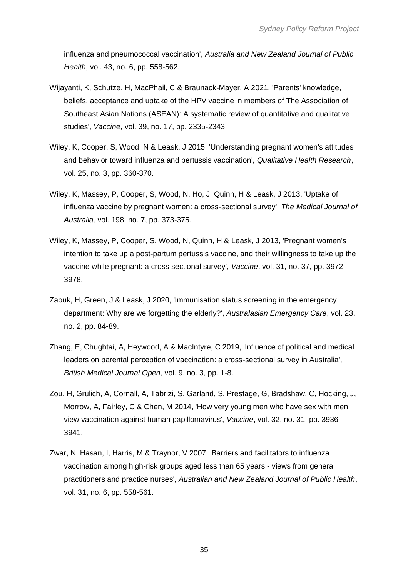influenza and pneumococcal vaccination', *Australia and New Zealand Journal of Public Health*, vol. 43, no. 6, pp. 558-562.

- Wijayanti, K, Schutze, H, MacPhail, C & Braunack-Mayer, A 2021, 'Parents' knowledge, beliefs, acceptance and uptake of the HPV vaccine in members of The Association of Southeast Asian Nations (ASEAN): A systematic review of quantitative and qualitative studies', *Vaccine*, vol. 39, no. 17, pp. 2335-2343.
- Wiley, K, Cooper, S, Wood, N & Leask, J 2015, 'Understanding pregnant women's attitudes and behavior toward influenza and pertussis vaccination', *Qualitative Health Research*, vol. 25, no. 3, pp. 360-370.
- Wiley, K, Massey, P, Cooper, S, Wood, N, Ho, J, Quinn, H & Leask, J 2013, 'Uptake of influenza vaccine by pregnant women: a cross-sectional survey', *The Medical Journal of Australia,* vol. 198, no. 7, pp. 373-375.
- Wiley, K, Massey, P, Cooper, S, Wood, N, Quinn, H & Leask, J 2013, 'Pregnant women's intention to take up a post-partum pertussis vaccine, and their willingness to take up the vaccine while pregnant: a cross sectional survey', *Vaccine*, vol. 31, no. 37, pp. 3972- 3978.
- Zaouk, H, Green, J & Leask, J 2020, 'Immunisation status screening in the emergency department: Why are we forgetting the elderly?', *Australasian Emergency Care*, vol. 23, no. 2, pp. 84-89.
- Zhang, E, Chughtai, A, Heywood, A & MacIntyre, C 2019, 'Influence of political and medical leaders on parental perception of vaccination: a cross-sectional survey in Australia', *British Medical Journal Open*, vol. 9, no. 3, pp. 1-8.
- Zou, H, Grulich, A, Cornall, A, Tabrizi, S, Garland, S, Prestage, G, Bradshaw, C, Hocking, J, Morrow, A, Fairley, C & Chen, M 2014, 'How very young men who have sex with men view vaccination against human papillomavirus', *Vaccine*, vol. 32, no. 31, pp. 3936- 3941.
- Zwar, N, Hasan, I, Harris, M & Traynor, V 2007, 'Barriers and facilitators to influenza vaccination among high-risk groups aged less than 65 years - views from general practitioners and practice nurses', *Australian and New Zealand Journal of Public Health*, vol. 31, no. 6, pp. 558-561.